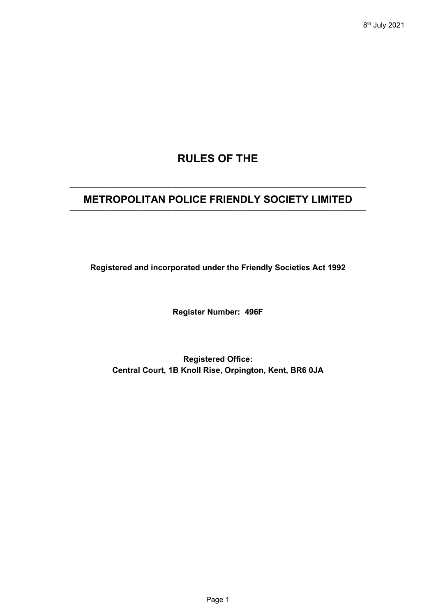# **RULES OF THE**

# **\_\_\_\_\_\_\_\_\_\_\_\_\_\_\_\_\_\_\_\_\_\_\_\_\_\_\_\_\_\_\_\_\_\_\_\_\_\_\_\_\_\_\_\_\_\_\_\_\_\_\_\_\_\_\_\_\_\_\_\_\_\_\_\_\_\_\_\_\_\_\_\_\_\_\_\_\_\_\_\_\_\_\_\_\_\_\_\_\_\_\_\_\_\_\_\_\_\_\_\_\_\_\_\_ METROPOLITAN POLICE FRIENDLY SOCIETY LIMITED \_\_\_\_\_\_\_\_\_\_\_\_\_\_\_\_\_\_\_\_\_\_\_\_\_\_\_\_\_\_\_\_\_\_\_\_\_\_\_\_\_\_\_\_\_\_\_\_\_\_\_\_\_\_\_\_\_\_\_\_\_\_\_\_\_\_\_\_\_\_\_\_\_\_\_\_\_\_\_\_\_\_\_\_\_\_\_\_\_\_\_\_\_\_\_\_\_\_\_\_\_\_\_\_**

**Registered and incorporated under the Friendly Societies Act 1992**

**Register Number: 496F**

**Registered Office: Central Court, 1B Knoll Rise, Orpington, Kent, BR6 0JA**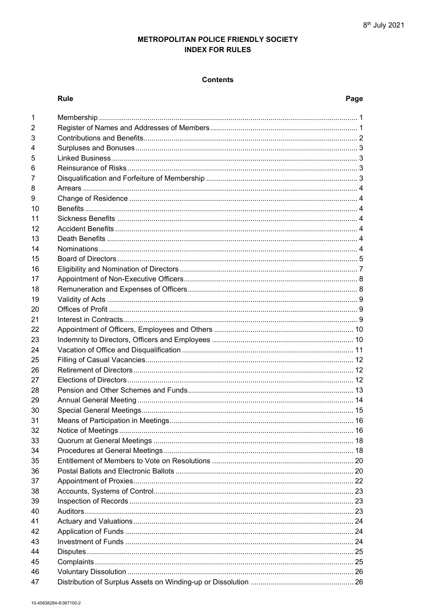# METROPOLITAN POLICE FRIENDLY SOCIETY **INDEX FOR RULES**

# **Contents**

## Rule

# Page

| 1  |  |
|----|--|
| 2  |  |
| 3  |  |
| 4  |  |
| 5  |  |
| 6  |  |
| 7  |  |
| 8  |  |
| 9  |  |
| 10 |  |
| 11 |  |
| 12 |  |
| 13 |  |
| 14 |  |
| 15 |  |
| 16 |  |
| 17 |  |
| 18 |  |
| 19 |  |
| 20 |  |
| 21 |  |
| 22 |  |
| 23 |  |
| 24 |  |
| 25 |  |
| 26 |  |
| 27 |  |
| 28 |  |
| 29 |  |
| 30 |  |
| 31 |  |
| 32 |  |
| 33 |  |
| 34 |  |
| 35 |  |
| 36 |  |
| 37 |  |
| 38 |  |
| 39 |  |
| 40 |  |
| 41 |  |
| 42 |  |
| 43 |  |
| 44 |  |
| 45 |  |
| 46 |  |
| 47 |  |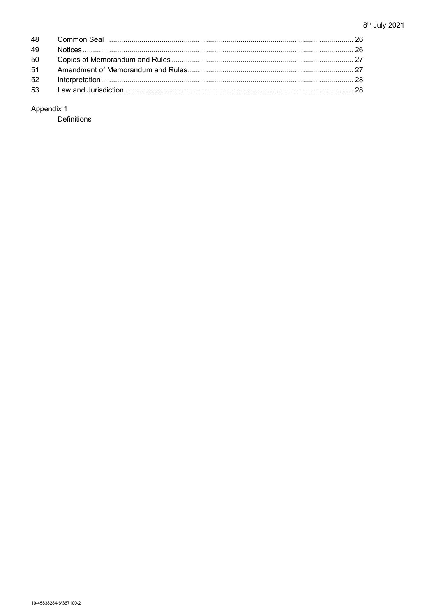| 49 |  |
|----|--|
|    |  |
|    |  |
|    |  |
|    |  |

# Appendix 1

Definitions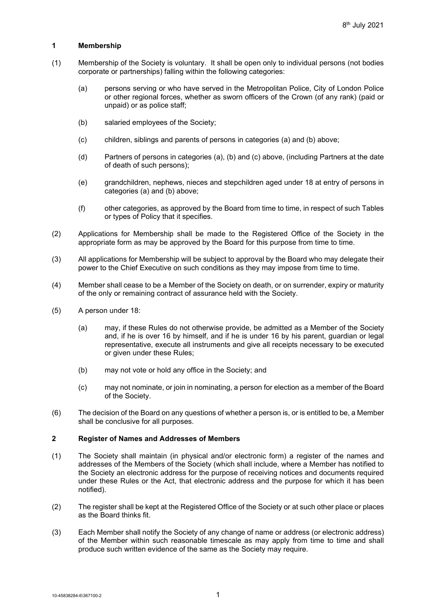#### **1 Membership**

- (1) Membership of the Society is voluntary. It shall be open only to individual persons (not bodies corporate or partnerships) falling within the following categories:
	- (a) persons serving or who have served in the Metropolitan Police, City of London Police or other regional forces, whether as sworn officers of the Crown (of any rank) (paid or unpaid) or as police staff;
	- (b) salaried employees of the Society;
	- (c) children, siblings and parents of persons in categories (a) and (b) above;
	- (d) Partners of persons in categories (a), (b) and (c) above, (including Partners at the date of death of such persons);
	- (e) grandchildren, nephews, nieces and stepchildren aged under 18 at entry of persons in categories (a) and (b) above;
	- (f) other categories, as approved by the Board from time to time, in respect of such Tables or types of Policy that it specifies.
- (2) Applications for Membership shall be made to the Registered Office of the Society in the appropriate form as may be approved by the Board for this purpose from time to time.
- (3) All applications for Membership will be subject to approval by the Board who may delegate their power to the Chief Executive on such conditions as they may impose from time to time.
- (4) Member shall cease to be a Member of the Society on death, or on surrender, expiry or maturity of the only or remaining contract of assurance held with the Society.
- <span id="page-3-1"></span>(5) A person under 18:
	- (a) may, if these Rules do not otherwise provide, be admitted as a Member of the Society and, if he is over 16 by himself, and if he is under 16 by his parent, guardian or legal representative, execute all instruments and give all receipts necessary to be executed or given under these Rules;
	- (b) may not vote or hold any office in the Society; and
	- (c) may not nominate, or join in nominating, a person for election as a member of the Board of the Society.
- (6) The decision of the Board on any questions of whether a person is, or is entitled to be, a Member shall be conclusive for all purposes.

# **2 Register of Names and Addresses of Members**

- (1) The Society shall maintain (in physical and/or electronic form) a register of the names and addresses of the Members of the Society (which shall include, where a Member has notified to the Society an electronic address for the purpose of receiving notices and documents required under these Rules or the Act, that electronic address and the purpose for which it has been notified).
- (2) The register shall be kept at the Registered Office of the Society or at such other place or places as the Board thinks fit.
- <span id="page-3-0"></span>(3) Each Member shall notify the Society of any change of name or address (or electronic address) of the Member within such reasonable timescale as may apply from time to time and shall produce such written evidence of the same as the Society may require.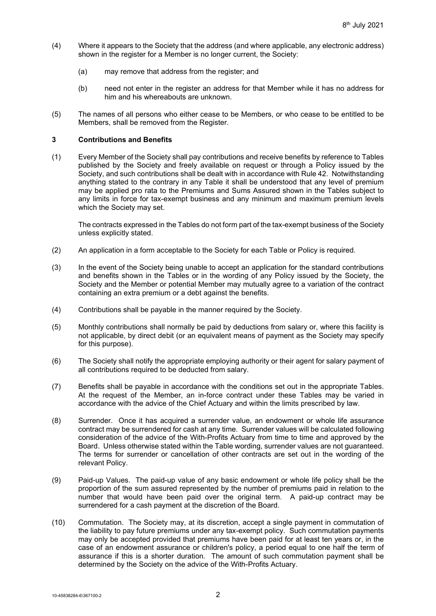- (4) Where it appears to the Society that the address (and where applicable, any electronic address) shown in the register for a Member is no longer current, the Society:
	- (a) may remove that address from the register; and
	- (b) need not enter in the register an address for that Member while it has no address for him and his whereabouts are unknown.
- (5) The names of all persons who either cease to be Members, or who cease to be entitled to be Members, shall be removed from the Register.

### **3 Contributions and Benefits**

(1) Every Member of the Society shall pay contributions and receive benefits by reference to Tables published by the Society and freely available on request or through a Policy issued by the Society, and such contributions shall be dealt with in accordance with Rule [42.](#page-26-0) Notwithstanding anything stated to the contrary in any Table it shall be understood that any level of premium may be applied pro rata to the Premiums and Sums Assured shown in the Tables subject to any limits in force for tax-exempt business and any minimum and maximum premium levels which the Society may set.

The contracts expressed in the Tables do not form part of the tax-exempt business of the Society unless explicitly stated.

- (2) An application in a form acceptable to the Society for each Table or Policy is required.
- (3) In the event of the Society being unable to accept an application for the standard contributions and benefits shown in the Tables or in the wording of any Policy issued by the Society, the Society and the Member or potential Member may mutually agree to a variation of the contract containing an extra premium or a debt against the benefits.
- (4) Contributions shall be payable in the manner required by the Society.
- (5) Monthly contributions shall normally be paid by deductions from salary or, where this facility is not applicable, by direct debit (or an equivalent means of payment as the Society may specify for this purpose).
- (6) The Society shall notify the appropriate employing authority or their agent for salary payment of all contributions required to be deducted from salary.
- (7) Benefits shall be payable in accordance with the conditions set out in the appropriate Tables. At the request of the Member, an in-force contract under these Tables may be varied in accordance with the advice of the Chief Actuary and within the limits prescribed by law.
- <span id="page-4-0"></span>(8) Surrender. Once it has acquired a surrender value, an endowment or whole life assurance contract may be surrendered for cash at any time. Surrender values will be calculated following consideration of the advice of the With-Profits Actuary from time to time and approved by the Board. Unless otherwise stated within the Table wording, surrender values are not guaranteed. The terms for surrender or cancellation of other contracts are set out in the wording of the relevant Policy.
- (9) Paid-up Values. The paid-up value of any basic endowment or whole life policy shall be the proportion of the sum assured represented by the number of premiums paid in relation to the number that would have been paid over the original term. A paid-up contract may be surrendered for a cash payment at the discretion of the Board.
- (10) Commutation. The Society may, at its discretion, accept a single payment in commutation of the liability to pay future premiums under any tax-exempt policy. Such commutation payments may only be accepted provided that premiums have been paid for at least ten years or, in the case of an endowment assurance or children's policy, a period equal to one half the term of assurance if this is a shorter duration. The amount of such commutation payment shall be determined by the Society on the advice of the With-Profits Actuary.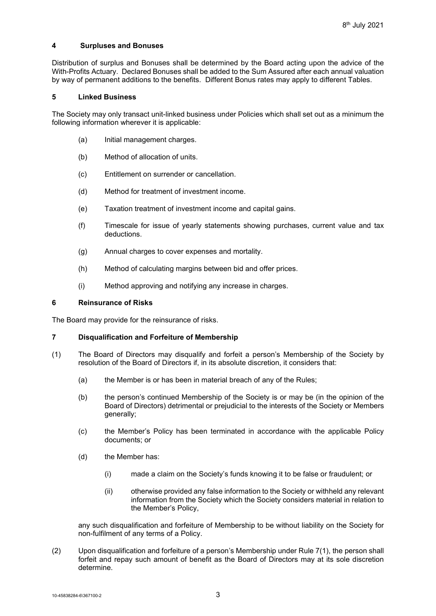#### **4 Surpluses and Bonuses**

Distribution of surplus and Bonuses shall be determined by the Board acting upon the advice of the With-Profits Actuary. Declared Bonuses shall be added to the Sum Assured after each annual valuation by way of permanent additions to the benefits. Different Bonus rates may apply to different Tables.

#### **5 Linked Business**

The Society may only transact unit-linked business under Policies which shall set out as a minimum the following information wherever it is applicable:

- (a) Initial management charges.
- (b) Method of allocation of units.
- (c) Entitlement on surrender or cancellation.
- (d) Method for treatment of investment income.
- (e) Taxation treatment of investment income and capital gains.
- (f) Timescale for issue of yearly statements showing purchases, current value and tax deductions.
- (g) Annual charges to cover expenses and mortality.
- (h) Method of calculating margins between bid and offer prices.
- (i) Method approving and notifying any increase in charges.

#### **6 Reinsurance of Risks**

The Board may provide for the reinsurance of risks.

#### <span id="page-5-0"></span>**7 Disqualification and Forfeiture of Membership**

- <span id="page-5-1"></span>(1) The Board of Directors may disqualify and forfeit a person's Membership of the Society by resolution of the Board of Directors if, in its absolute discretion, it considers that:
	- (a) the Member is or has been in material breach of any of the Rules;
	- (b) the person's continued Membership of the Society is or may be (in the opinion of the Board of Directors) detrimental or prejudicial to the interests of the Society or Members generally;
	- (c) the Member's Policy has been terminated in accordance with the applicable Policy documents; or
	- (d) the Member has:
		- (i) made a claim on the Society's funds knowing it to be false or fraudulent; or
		- (ii) otherwise provided any false information to the Society or withheld any relevant information from the Society which the Society considers material in relation to the Member's Policy,

any such disqualification and forfeiture of Membership to be without liability on the Society for non-fulfilment of any terms of a Policy.

<span id="page-5-2"></span>(2) Upon disqualification and forfeiture of a person's Membership under Rule [7](#page-5-0)[\(1\),](#page-5-1) the person shall forfeit and repay such amount of benefit as the Board of Directors may at its sole discretion determine.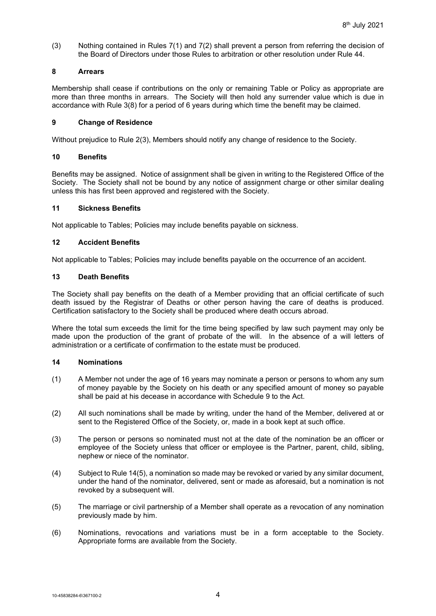(3) Nothing contained in Rules [7](#page-5-0)[\(1\)](#page-5-1) and [7](#page-5-0)[\(2\)](#page-5-2) shall prevent a person from referring the decision of the Board of Directors under those Rules to arbitration or other resolution under Rule [44.](#page-27-0)

# **8 Arrears**

Membership shall cease if contributions on the only or remaining Table or Policy as appropriate are more than three months in arrears. The Society will then hold any surrender value which is due in accordance with Rule [3\(8\)](#page-4-0) for a period of 6 years during which time the benefit may be claimed.

# **9 Change of Residence**

Without prejudice to Rule [2\(3\),](#page-3-0) Members should notify any change of residence to the Society.

# **10 Benefits**

Benefits may be assigned. Notice of assignment shall be given in writing to the Registered Office of the Society. The Society shall not be bound by any notice of assignment charge or other similar dealing unless this has first been approved and registered with the Society.

# **11 Sickness Benefits**

Not applicable to Tables; Policies may include benefits payable on sickness.

# **12 Accident Benefits**

Not applicable to Tables; Policies may include benefits payable on the occurrence of an accident.

# **13 Death Benefits**

The Society shall pay benefits on the death of a Member providing that an official certificate of such death issued by the Registrar of Deaths or other person having the care of deaths is produced. Certification satisfactory to the Society shall be produced where death occurs abroad.

Where the total sum exceeds the limit for the time being specified by law such payment may only be made upon the production of the grant of probate of the will. In the absence of a will letters of administration or a certificate of confirmation to the estate must be produced.

#### <span id="page-6-0"></span>**14 Nominations**

- (1) A Member not under the age of 16 years may nominate a person or persons to whom any sum of money payable by the Society on his death or any specified amount of money so payable shall be paid at his decease in accordance with Schedule 9 to the Act.
- (2) All such nominations shall be made by writing, under the hand of the Member, delivered at or sent to the Registered Office of the Society, or, made in a book kept at such office.
- (3) The person or persons so nominated must not at the date of the nomination be an officer or employee of the Society unless that officer or employee is the Partner, parent, child, sibling, nephew or niece of the nominator.
- (4) Subject to Rul[e 14](#page-6-0)[\(5\),](#page-6-1) a nomination so made may be revoked or varied by any similar document, under the hand of the nominator, delivered, sent or made as aforesaid, but a nomination is not revoked by a subsequent will.
- <span id="page-6-1"></span>(5) The marriage or civil partnership of a Member shall operate as a revocation of any nomination previously made by him.
- (6) Nominations, revocations and variations must be in a form acceptable to the Society. Appropriate forms are available from the Society.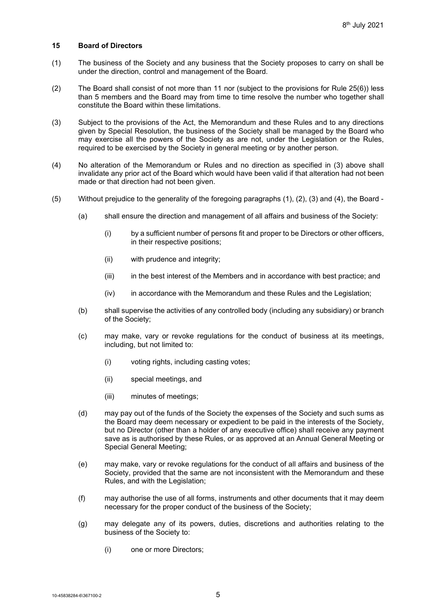#### <span id="page-7-1"></span>**15 Board of Directors**

- (1) The business of the Society and any business that the Society proposes to carry on shall be under the direction, control and management of the Board.
- <span id="page-7-5"></span>(2) The Board shall consist of not more than 11 nor (subject to the provisions for Rule [25\(6\)\)](#page-14-0) less than 5 members and the Board may from time to time resolve the number who together shall constitute the Board within these limitations.
- <span id="page-7-0"></span>(3) Subject to the provisions of the Act, the Memorandum and these Rules and to any directions given by Special Resolution, the business of the Society shall be managed by the Board who may exercise all the powers of the Society as are not, under the Legislation or the Rules, required to be exercised by the Society in general meeting or by another person.
- (4) No alteration of the Memorandum or Rules and no direction as specified in [\(3\)](#page-7-0) above shall invalidate any prior act of the Board which would have been valid if that alteration had not been made or that direction had not been given.
- <span id="page-7-6"></span><span id="page-7-4"></span><span id="page-7-3"></span><span id="page-7-2"></span>(5) Without prejudice to the generality of the foregoing paragraphs (1), (2), (3) and (4), the Board -
	- (a) shall ensure the direction and management of all affairs and business of the Society:
		- (i) by a sufficient number of persons fit and proper to be Directors or other officers, in their respective positions;
		- (ii) with prudence and integrity;
		- (iii) in the best interest of the Members and in accordance with best practice; and
		- (iv) in accordance with the Memorandum and these Rules and the Legislation;
	- (b) shall supervise the activities of any controlled body (including any subsidiary) or branch of the Society;
	- (c) may make, vary or revoke regulations for the conduct of business at its meetings, including, but not limited to:
		- (i) voting rights, including casting votes;
		- (ii) special meetings, and
		- (iii) minutes of meetings;
	- (d) may pay out of the funds of the Society the expenses of the Society and such sums as the Board may deem necessary or expedient to be paid in the interests of the Society, but no Director (other than a holder of any executive office) shall receive any payment save as is authorised by these Rules, or as approved at an Annual General Meeting or Special General Meeting;
	- (e) may make, vary or revoke regulations for the conduct of all affairs and business of the Society, provided that the same are not inconsistent with the Memorandum and these Rules, and with the Legislation;
	- (f) may authorise the use of all forms, instruments and other documents that it may deem necessary for the proper conduct of the business of the Society;
	- (g) may delegate any of its powers, duties, discretions and authorities relating to the business of the Society to:
		- (i) one or more Directors;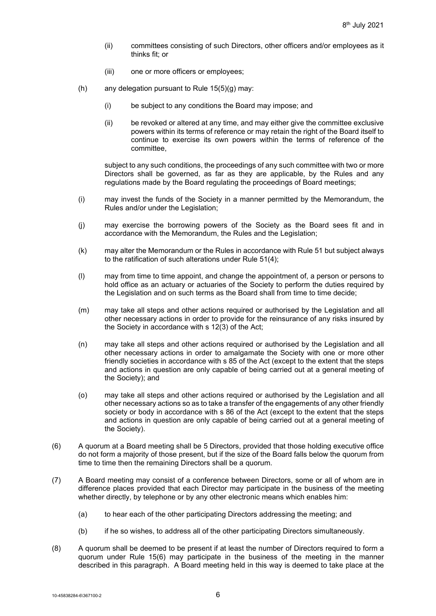- (ii) committees consisting of such Directors, other officers and/or employees as it thinks fit: or
- (iii) one or more officers or employees;
- (h) any delegation pursuant to Rule  $15(5)(g)$  $15(5)(g)$  $15(5)(g)$  may:
	- (i) be subject to any conditions the Board may impose; and
	- (ii) be revoked or altered at any time, and may either give the committee exclusive powers within its terms of reference or may retain the right of the Board itself to continue to exercise its own powers within the terms of reference of the committee,

subject to any such conditions, the proceedings of any such committee with two or more Directors shall be governed, as far as they are applicable, by the Rules and any regulations made by the Board regulating the proceedings of Board meetings;

- (i) may invest the funds of the Society in a manner permitted by the Memorandum, the Rules and/or under the Legislation;
- (j) may exercise the borrowing powers of the Society as the Board sees fit and in accordance with the Memorandum, the Rules and the Legislation;
- (k) may alter the Memorandum or the Rules in accordance with Rule [51](#page-29-0) but subject always to the ratification of such alterations under Rule [51\(4\);](#page-29-1)
- (l) may from time to time appoint, and change the appointment of, a person or persons to hold office as an actuary or actuaries of the Society to perform the duties required by the Legislation and on such terms as the Board shall from time to time decide;
- (m) may take all steps and other actions required or authorised by the Legislation and all other necessary actions in order to provide for the reinsurance of any risks insured by the Society in accordance with s 12(3) of the Act;
- (n) may take all steps and other actions required or authorised by the Legislation and all other necessary actions in order to amalgamate the Society with one or more other friendly societies in accordance with s 85 of the Act (except to the extent that the steps and actions in question are only capable of being carried out at a general meeting of the Society); and
- (o) may take all steps and other actions required or authorised by the Legislation and all other necessary actions so as to take a transfer of the engagements of any other friendly society or body in accordance with s 86 of the Act (except to the extent that the steps and actions in question are only capable of being carried out at a general meeting of the Society).
- <span id="page-8-0"></span>(6) A quorum at a Board meeting shall be 5 Directors, provided that those holding executive office do not form a majority of those present, but if the size of the Board falls below the quorum from time to time then the remaining Directors shall be a quorum.
- (7) A Board meeting may consist of a conference between Directors, some or all of whom are in difference places provided that each Director may participate in the business of the meeting whether directly, by telephone or by any other electronic means which enables him:
	- (a) to hear each of the other participating Directors addressing the meeting; and
	- (b) if he so wishes, to address all of the other participating Directors simultaneously.
- (8) A quorum shall be deemed to be present if at least the number of Directors required to form a quorum under Rule [15](#page-7-1)[\(6\)](#page-8-0) may participate in the business of the meeting in the manner described in this paragraph. A Board meeting held in this way is deemed to take place at the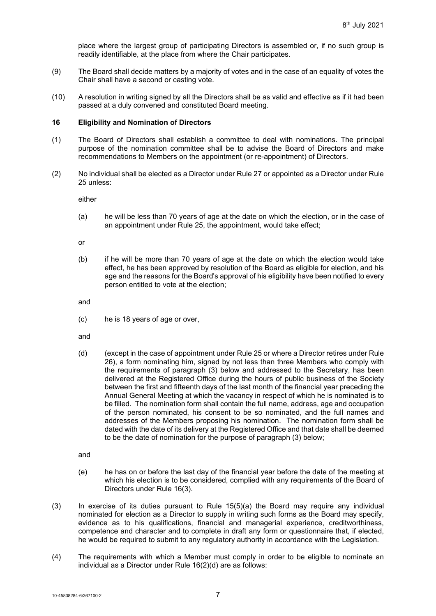place where the largest group of participating Directors is assembled or, if no such group is readily identifiable, at the place from where the Chair participates.

- (9) The Board shall decide matters by a majority of votes and in the case of an equality of votes the Chair shall have a second or casting vote.
- (10) A resolution in writing signed by all the Directors shall be as valid and effective as if it had been passed at a duly convened and constituted Board meeting.

# <span id="page-9-0"></span>**16 Eligibility and Nomination of Directors**

- (1) The Board of Directors shall establish a committee to deal with nominations. The principal purpose of the nomination committee shall be to advise the Board of Directors and make recommendations to Members on the appointment (or re-appointment) of Directors.
- <span id="page-9-3"></span>(2) No individual shall be elected as a Director under Rul[e 27](#page-14-1) or appointed as a Director under Rule [25](#page-14-2) unless:

either

(a) he will be less than 70 years of age at the date on which the election, or in the case of an appointment under Rule [25,](#page-14-2) the appointment, would take effect;

or

(b) if he will be more than 70 years of age at the date on which the election would take effect, he has been approved by resolution of the Board as eligible for election, and his age and the reasons for the Board's approval of his eligibility have been notified to every person entitled to vote at the election;

and

(c) he is 18 years of age or over,

and

<span id="page-9-2"></span>(d) (except in the case of appointment under Rul[e 25](#page-14-2) or where a Director retires under Rule [26\)](#page-14-3), a form nominating him, signed by not less than three Members who comply with the requirements of paragraph (3) below and addressed to the Secretary, has been delivered at the Registered Office during the hours of public business of the Society between the first and fifteenth days of the last month of the financial year preceding the Annual General Meeting at which the vacancy in respect of which he is nominated is to be filled. The nomination form shall contain the full name, address, age and occupation of the person nominated, his consent to be so nominated, and the full names and addresses of the Members proposing his nomination. The nomination form shall be dated with the date of its delivery at the Registered Office and that date shall be deemed to be the date of nomination for the purpose of paragraph (3) below;

and

- (e) he has on or before the last day of the financial year before the date of the meeting at which his election is to be considered, complied with any requirements of the Board of Directors under Rule [16](#page-9-0)[\(3\).](#page-9-1)
- <span id="page-9-1"></span>(3) In exercise of its duties pursuant to Rule [15\(5\)\(a\)](#page-7-4) the Board may require any individual nominated for election as a Director to supply in writing such forms as the Board may specify, evidence as to his qualifications, financial and managerial experience, creditworthiness, competence and character and to complete in draft any form or questionnaire that, if elected, he would be required to submit to any regulatory authority in accordance with the Legislation.
- (4) The requirements with which a Member must comply in order to be eligible to nominate an individual as a Director under Rule [16](#page-9-0)[\(2\)\(d\)](#page-9-2) are as follows: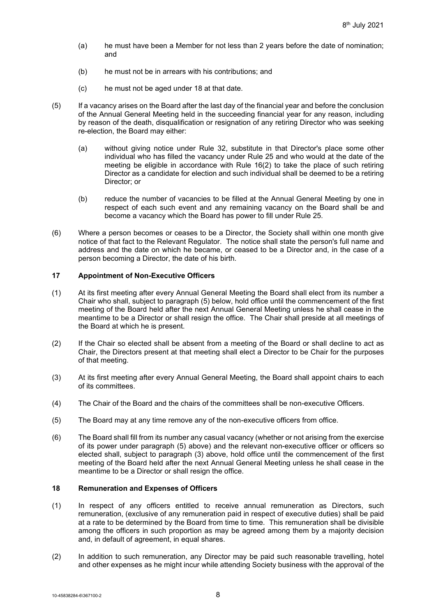- (a) he must have been a Member for not less than 2 years before the date of nomination; and
- (b) he must not be in arrears with his contributions; and
- (c) he must not be aged under 18 at that date.
- (5) If a vacancy arises on the Board after the last day of the financial year and before the conclusion of the Annual General Meeting held in the succeeding financial year for any reason, including by reason of the death, disqualification or resignation of any retiring Director who was seeking re-election, the Board may either:
	- (a) without giving notice under Rule [32,](#page-18-0) substitute in that Director's place some other individual who has filled the vacancy under Rule [25](#page-14-2) and who would at the date of the meeting be eligible in accordance with Rule [16\(2\)](#page-9-3) to take the place of such retiring Director as a candidate for election and such individual shall be deemed to be a retiring Director; or
	- (b) reduce the number of vacancies to be filled at the Annual General Meeting by one in respect of each such event and any remaining vacancy on the Board shall be and become a vacancy which the Board has power to fill under Rule [25.](#page-14-2)
- (6) Where a person becomes or ceases to be a Director, the Society shall within one month give notice of that fact to the Relevant Regulator. The notice shall state the person's full name and address and the date on which he became, or ceased to be a Director and, in the case of a person becoming a Director, the date of his birth.

# **17 Appointment of Non-Executive Officers**

- (1) At its first meeting after every Annual General Meeting the Board shall elect from its number a Chair who shall, subject to paragraph [\(5\)](#page-10-0) below, hold office until the commencement of the first meeting of the Board held after the next Annual General Meeting unless he shall cease in the meantime to be a Director or shall resign the office. The Chair shall preside at all meetings of the Board at which he is present.
- (2) If the Chair so elected shall be absent from a meeting of the Board or shall decline to act as Chair, the Directors present at that meeting shall elect a Director to be Chair for the purposes of that meeting.
- <span id="page-10-1"></span>(3) At its first meeting after every Annual General Meeting, the Board shall appoint chairs to each of its committees.
- (4) The Chair of the Board and the chairs of the committees shall be non-executive Officers.
- <span id="page-10-0"></span>(5) The Board may at any time remove any of the non-executive officers from office.
- (6) The Board shall fill from its number any casual vacancy (whether or not arising from the exercise of its power under paragraph [\(5\)](#page-10-0) above) and the relevant non-executive officer or officers so elected shall, subject to paragraph [\(3\)](#page-10-1) above, hold office until the commencement of the first meeting of the Board held after the next Annual General Meeting unless he shall cease in the meantime to be a Director or shall resign the office.

#### **18 Remuneration and Expenses of Officers**

- <span id="page-10-2"></span>(1) In respect of any officers entitled to receive annual remuneration as Directors, such remuneration, (exclusive of any remuneration paid in respect of executive duties) shall be paid at a rate to be determined by the Board from time to time. This remuneration shall be divisible among the officers in such proportion as may be agreed among them by a majority decision and, in default of agreement, in equal shares.
- (2) In addition to such remuneration, any Director may be paid such reasonable travelling, hotel and other expenses as he might incur while attending Society business with the approval of the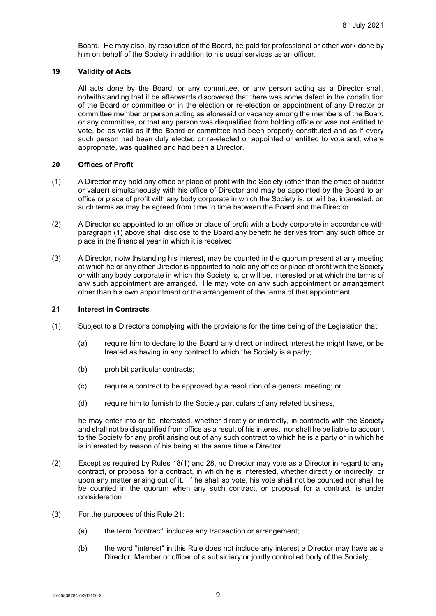Board. He may also, by resolution of the Board, be paid for professional or other work done by him on behalf of the Society in addition to his usual services as an officer.

#### **19 Validity of Acts**

All acts done by the Board, or any committee, or any person acting as a Director shall, notwithstanding that it be afterwards discovered that there was some defect in the constitution of the Board or committee or in the election or re-election or appointment of any Director or committee member or person acting as aforesaid or vacancy among the members of the Board or any committee, or that any person was disqualified from holding office or was not entitled to vote, be as valid as if the Board or committee had been properly constituted and as if every such person had been duly elected or re-elected or appointed or entitled to vote and, where appropriate, was qualified and had been a Director.

#### **20 Offices of Profit**

- (1) A Director may hold any office or place of profit with the Society (other than the office of auditor or valuer) simultaneously with his office of Director and may be appointed by the Board to an office or place of profit with any body corporate in which the Society is, or will be, interested, on such terms as may be agreed from time to time between the Board and the Director.
- (2) A Director so appointed to an office or place of profit with a body corporate in accordance with paragraph (1) above shall disclose to the Board any benefit he derives from any such office or place in the financial year in which it is received.
- (3) A Director, notwithstanding his interest, may be counted in the quorum present at any meeting at which he or any other Director is appointed to hold any office or place of profit with the Society or with any body corporate in which the Society is, or will be, interested or at which the terms of any such appointment are arranged. He may vote on any such appointment or arrangement other than his own appointment or the arrangement of the terms of that appointment.

# <span id="page-11-0"></span>**21 Interest in Contracts**

- <span id="page-11-1"></span>(1) Subject to a Director's complying with the provisions for the time being of the Legislation that:
	- (a) require him to declare to the Board any direct or indirect interest he might have, or be treated as having in any contract to which the Society is a party;
	- (b) prohibit particular contracts;
	- (c) require a contract to be approved by a resolution of a general meeting; or
	- (d) require him to furnish to the Society particulars of any related business,

he may enter into or be interested, whether directly or indirectly, in contracts with the Society and shall not be disqualified from office as a result of his interest, nor shall he be liable to account to the Society for any profit arising out of any such contract to which he is a party or in which he is interested by reason of his being at the same time a Director.

- (2) Except as required by Rules [18\(1\)](#page-10-2) and [28,](#page-15-0) no Director may vote as a Director in regard to any contract, or proposal for a contract, in which he is interested, whether directly or indirectly, or upon any matter arising out of it. If he shall so vote, his vote shall not be counted nor shall he be counted in the quorum when any such contract, or proposal for a contract, is under consideration.
- (3) For the purposes of this Rule [21:](#page-11-0)
	- (a) the term "contract" includes any transaction or arrangement;
	- (b) the word "interest" in this Rule does not include any interest a Director may have as a Director, Member or officer of a subsidiary or jointly controlled body of the Society;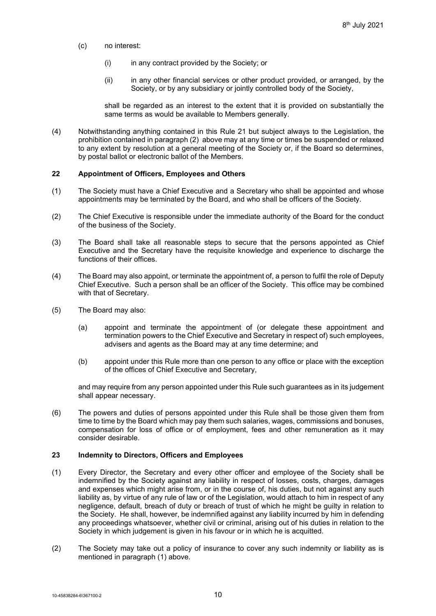- (c) no interest:
	- (i) in any contract provided by the Society; or
	- (ii) in any other financial services or other product provided, or arranged, by the Society, or by any subsidiary or jointly controlled body of the Society,

shall be regarded as an interest to the extent that it is provided on substantially the same terms as would be available to Members generally.

(4) Notwithstanding anything contained in this Rule [21](#page-11-0) but subject always to the Legislation, the prohibition contained in paragraph (2) above may at any time or times be suspended or relaxed to any extent by resolution at a general meeting of the Society or, if the Board so determines, by postal ballot or electronic ballot of the Members.

#### **22 Appointment of Officers, Employees and Others**

- (1) The Society must have a Chief Executive and a Secretary who shall be appointed and whose appointments may be terminated by the Board, and who shall be officers of the Society.
- (2) The Chief Executive is responsible under the immediate authority of the Board for the conduct of the business of the Society.
- (3) The Board shall take all reasonable steps to secure that the persons appointed as Chief Executive and the Secretary have the requisite knowledge and experience to discharge the functions of their offices.
- (4) The Board may also appoint, or terminate the appointment of, a person to fulfil the role of Deputy Chief Executive. Such a person shall be an officer of the Society. This office may be combined with that of Secretary.
- (5) The Board may also:
	- (a) appoint and terminate the appointment of (or delegate these appointment and termination powers to the Chief Executive and Secretary in respect of) such employees, advisers and agents as the Board may at any time determine; and
	- (b) appoint under this Rule more than one person to any office or place with the exception of the offices of Chief Executive and Secretary,

and may require from any person appointed under this Rule such guarantees as in its judgement shall appear necessary.

(6) The powers and duties of persons appointed under this Rule shall be those given them from time to time by the Board which may pay them such salaries, wages, commissions and bonuses, compensation for loss of office or of employment, fees and other remuneration as it may consider desirable.

# **23 Indemnity to Directors, Officers and Employees**

- (1) Every Director, the Secretary and every other officer and employee of the Society shall be indemnified by the Society against any liability in respect of losses, costs, charges, damages and expenses which might arise from, or in the course of, his duties, but not against any such liability as, by virtue of any rule of law or of the Legislation, would attach to him in respect of any negligence, default, breach of duty or breach of trust of which he might be guilty in relation to the Society. He shall, however, be indemnified against any liability incurred by him in defending any proceedings whatsoever, whether civil or criminal, arising out of his duties in relation to the Society in which judgement is given in his favour or in which he is acquitted.
- (2) The Society may take out a policy of insurance to cover any such indemnity or liability as is mentioned in paragraph (1) above.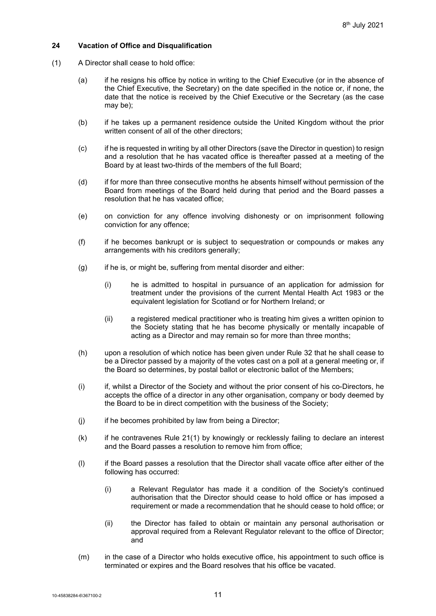# **24 Vacation of Office and Disqualification**

- <span id="page-13-0"></span>(1) A Director shall cease to hold office:
	- (a) if he resigns his office by notice in writing to the Chief Executive (or in the absence of the Chief Executive, the Secretary) on the date specified in the notice or, if none, the date that the notice is received by the Chief Executive or the Secretary (as the case may be);
	- (b) if he takes up a permanent residence outside the United Kingdom without the prior written consent of all of the other directors;
	- (c) if he is requested in writing by all other Directors (save the Director in question) to resign and a resolution that he has vacated office is thereafter passed at a meeting of the Board by at least two-thirds of the members of the full Board;
	- (d) if for more than three consecutive months he absents himself without permission of the Board from meetings of the Board held during that period and the Board passes a resolution that he has vacated office;
	- (e) on conviction for any offence involving dishonesty or on imprisonment following conviction for any offence;
	- (f) if he becomes bankrupt or is subject to sequestration or compounds or makes any arrangements with his creditors generally;
	- (g) if he is, or might be, suffering from mental disorder and either:
		- (i) he is admitted to hospital in pursuance of an application for admission for treatment under the provisions of the current Mental Health Act 1983 or the equivalent legislation for Scotland or for Northern Ireland; or
		- (ii) a registered medical practitioner who is treating him gives a written opinion to the Society stating that he has become physically or mentally incapable of acting as a Director and may remain so for more than three months;
	- (h) upon a resolution of which notice has been given under Rule [32](#page-18-0) that he shall cease to be a Director passed by a majority of the votes cast on a poll at a general meeting or, if the Board so determines, by postal ballot or electronic ballot of the Members;
	- (i) if, whilst a Director of the Society and without the prior consent of his co-Directors, he accepts the office of a director in any other organisation, company or body deemed by the Board to be in direct competition with the business of the Society;
	- (j) if he becomes prohibited by law from being a Director;
	- (k) if he contravenes Rule [21\(1\)](#page-11-1) by knowingly or recklessly failing to declare an interest and the Board passes a resolution to remove him from office;
	- (l) if the Board passes a resolution that the Director shall vacate office after either of the following has occurred:
		- (i) a Relevant Regulator has made it a condition of the Society's continued authorisation that the Director should cease to hold office or has imposed a requirement or made a recommendation that he should cease to hold office; or
		- (ii) the Director has failed to obtain or maintain any personal authorisation or approval required from a Relevant Regulator relevant to the office of Director; and
	- (m) in the case of a Director who holds executive office, his appointment to such office is terminated or expires and the Board resolves that his office be vacated.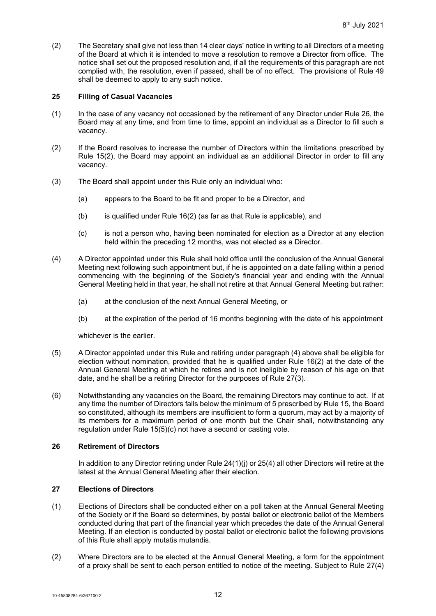(2) The Secretary shall give not less than 14 clear days' notice in writing to all Directors of a meeting of the Board at which it is intended to move a resolution to remove a Director from office. The notice shall set out the proposed resolution and, if all the requirements of this paragraph are not complied with, the resolution, even if passed, shall be of no effect. The provisions of Rule [49](#page-28-0) shall be deemed to apply to any such notice.

### <span id="page-14-2"></span>**25 Filling of Casual Vacancies**

- (1) In the case of any vacancy not occasioned by the retirement of any Director under Rule [26,](#page-14-3) the Board may at any time, and from time to time, appoint an individual as a Director to fill such a vacancy.
- (2) If the Board resolves to increase the number of Directors within the limitations prescribed by Rule [15\(2\),](#page-7-5) the Board may appoint an individual as an additional Director in order to fill any vacancy.
- (3) The Board shall appoint under this Rule only an individual who:
	- (a) appears to the Board to be fit and proper to be a Director, and
	- (b) is qualified under Rule [16\(2\)](#page-9-3) (as far as that Rule is applicable), and
	- (c) is not a person who, having been nominated for election as a Director at any election held within the preceding 12 months, was not elected as a Director.
- <span id="page-14-4"></span>(4) A Director appointed under this Rule shall hold office until the conclusion of the Annual General Meeting next following such appointment but, if he is appointed on a date falling within a period commencing with the beginning of the Society's financial year and ending with the Annual General Meeting held in that year, he shall not retire at that Annual General Meeting but rather:
	- (a) at the conclusion of the next Annual General Meeting, or
	- (b) at the expiration of the period of 16 months beginning with the date of his appointment

whichever is the earlier.

- (5) A Director appointed under this Rule and retiring under paragraph (4) above shall be eligible for election without nomination, provided that he is qualified under Rule [16\(2\)](#page-9-3) at the date of the Annual General Meeting at which he retires and is not ineligible by reason of his age on that date, and he shall be a retiring Director for the purposes of Rule [27\(3\).](#page-15-1)
- <span id="page-14-0"></span>(6) Notwithstanding any vacancies on the Board, the remaining Directors may continue to act. If at any time the number of Directors falls below the minimum of 5 prescribed by Rule [15,](#page-7-1) the Board so constituted, although its members are insufficient to form a quorum, may act by a majority of its members for a maximum period of one month but the Chair shall, notwithstanding any regulation under Rule [15\(5\)\(c\)](#page-7-6) not have a second or casting vote.

# <span id="page-14-3"></span>**26 Retirement of Directors**

In addition to any Director retiring under Rule [24\(1\)\(j\)](#page-13-0) or [25\(4\)](#page-14-4) all other Directors will retire at the latest at the Annual General Meeting after their election.

# <span id="page-14-1"></span>**27 Elections of Directors**

- (1) Elections of Directors shall be conducted either on a poll taken at the Annual General Meeting of the Society or if the Board so determines, by postal ballot or electronic ballot of the Members conducted during that part of the financial year which precedes the date of the Annual General Meeting. If an election is conducted by postal ballot or electronic ballot the following provisions of this Rule shall apply mutatis mutandis.
- (2) Where Directors are to be elected at the Annual General Meeting, a form for the appointment of a proxy shall be sent to each person entitled to notice of the meeting. Subject to Rule [27\(4\)](#page-15-2)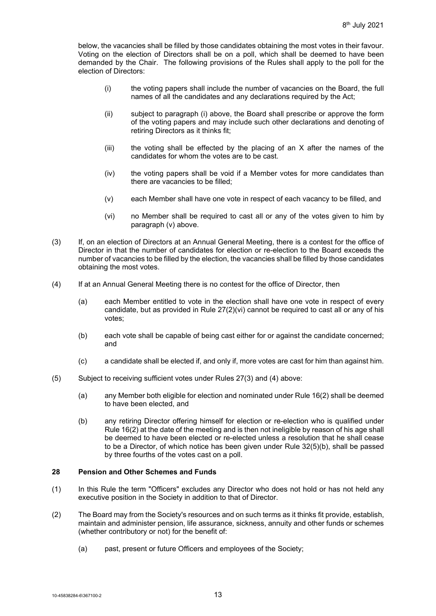below, the vacancies shall be filled by those candidates obtaining the most votes in their favour. Voting on the election of Directors shall be on a poll, which shall be deemed to have been demanded by the Chair. The following provisions of the Rules shall apply to the poll for the election of Directors:

- (i) the voting papers shall include the number of vacancies on the Board, the full names of all the candidates and any declarations required by the Act;
- (ii) subject to paragraph (i) above, the Board shall prescribe or approve the form of the voting papers and may include such other declarations and denoting of retiring Directors as it thinks fit;
- (iii) the voting shall be effected by the placing of an X after the names of the candidates for whom the votes are to be cast.
- (iv) the voting papers shall be void if a Member votes for more candidates than there are vacancies to be filled;
- (v) each Member shall have one vote in respect of each vacancy to be filled, and
- (vi) no Member shall be required to cast all or any of the votes given to him by paragraph (v) above.
- <span id="page-15-3"></span><span id="page-15-1"></span>(3) If, on an election of Directors at an Annual General Meeting, there is a contest for the office of Director in that the number of candidates for election or re-election to the Board exceeds the number of vacancies to be filled by the election, the vacancies shall be filled by those candidates obtaining the most votes.
- <span id="page-15-2"></span>(4) If at an Annual General Meeting there is no contest for the office of Director, then
	- (a) each Member entitled to vote in the election shall have one vote in respect of every candidate, but as provided in Rule [27\(2\)\(vi\)](#page-15-3) cannot be required to cast all or any of his votes;
	- (b) each vote shall be capable of being cast either for or against the candidate concerned; and
	- (c) a candidate shall be elected if, and only if, more votes are cast for him than against him.
- (5) Subject to receiving sufficient votes under Rules [27\(3\)](#page-15-1) and [\(4\)](#page-15-2) above:
	- (a) any Member both eligible for election and nominated under Rule [16\(2\)](#page-9-3) shall be deemed to have been elected, and
	- (b) any retiring Director offering himself for election or re-election who is qualified under Rule [16\(2\)](#page-9-3) at the date of the meeting and is then not ineligible by reason of his age shall be deemed to have been elected or re-elected unless a resolution that he shall cease to be a Director, of which notice has been given under Rule [32\(5\)\(b\),](#page-19-0) shall be passed by three fourths of the votes cast on a poll.

#### <span id="page-15-0"></span>**28 Pension and Other Schemes and Funds**

- (1) In this Rule the term "Officers" excludes any Director who does not hold or has not held any executive position in the Society in addition to that of Director.
- (2) The Board may from the Society's resources and on such terms as it thinks fit provide, establish, maintain and administer pension, life assurance, sickness, annuity and other funds or schemes (whether contributory or not) for the benefit of:
	- (a) past, present or future Officers and employees of the Society;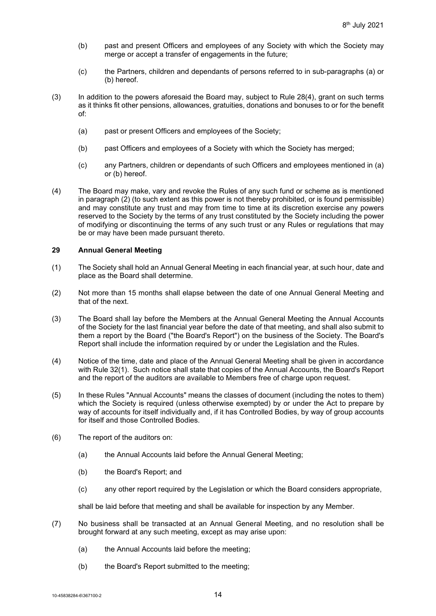- (b) past and present Officers and employees of any Society with which the Society may merge or accept a transfer of engagements in the future;
- (c) the Partners, children and dependants of persons referred to in sub-paragraphs (a) or (b) hereof.
- (3) In addition to the powers aforesaid the Board may, subject to Rule [28\(4\),](#page-16-0) grant on such terms as it thinks fit other pensions, allowances, gratuities, donations and bonuses to or for the benefit of:
	- (a) past or present Officers and employees of the Society;
	- (b) past Officers and employees of a Society with which the Society has merged;
	- (c) any Partners, children or dependants of such Officers and employees mentioned in (a) or (b) hereof.
- <span id="page-16-0"></span>(4) The Board may make, vary and revoke the Rules of any such fund or scheme as is mentioned in paragraph (2) (to such extent as this power is not thereby prohibited, or is found permissible) and may constitute any trust and may from time to time at its discretion exercise any powers reserved to the Society by the terms of any trust constituted by the Society including the power of modifying or discontinuing the terms of any such trust or any Rules or regulations that may be or may have been made pursuant thereto.

#### **29 Annual General Meeting**

- (1) The Society shall hold an Annual General Meeting in each financial year, at such hour, date and place as the Board shall determine.
- (2) Not more than 15 months shall elapse between the date of one Annual General Meeting and that of the next.
- (3) The Board shall lay before the Members at the Annual General Meeting the Annual Accounts of the Society for the last financial year before the date of that meeting, and shall also submit to them a report by the Board ("the Board's Report") on the business of the Society. The Board's Report shall include the information required by or under the Legislation and the Rules.
- (4) Notice of the time, date and place of the Annual General Meeting shall be given in accordance with Rule [32\(1\).](#page-18-1) Such notice shall state that copies of the Annual Accounts, the Board's Report and the report of the auditors are available to Members free of charge upon request.
- (5) In these Rules "Annual Accounts" means the classes of document (including the notes to them) which the Society is required (unless otherwise exempted) by or under the Act to prepare by way of accounts for itself individually and, if it has Controlled Bodies, by way of group accounts for itself and those Controlled Bodies.
- <span id="page-16-1"></span>(6) The report of the auditors on:
	- (a) the Annual Accounts laid before the Annual General Meeting;
	- (b) the Board's Report; and
	- (c) any other report required by the Legislation or which the Board considers appropriate,

shall be laid before that meeting and shall be available for inspection by any Member.

- (7) No business shall be transacted at an Annual General Meeting, and no resolution shall be brought forward at any such meeting, except as may arise upon:
	- (a) the Annual Accounts laid before the meeting;
	- (b) the Board's Report submitted to the meeting;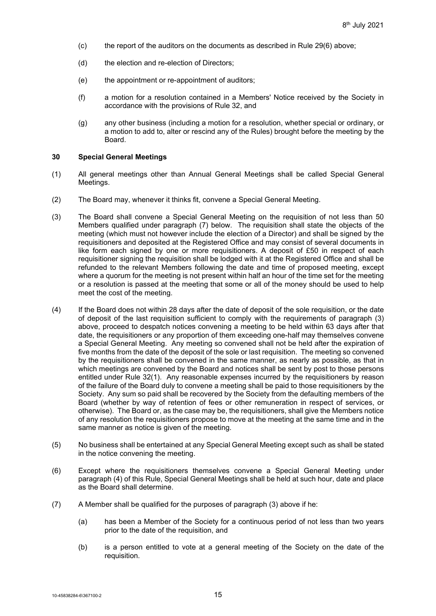- (c) the report of the auditors on the documents as described in Rule [29\(6\)](#page-16-1) above;
- (d) the election and re-election of Directors;
- (e) the appointment or re-appointment of auditors;
- (f) a motion for a resolution contained in a Members' Notice received by the Society in accordance with the provisions of Rule [32,](#page-18-0) and
- (g) any other business (including a motion for a resolution, whether special or ordinary, or a motion to add to, alter or rescind any of the Rules) brought before the meeting by the Board.

### <span id="page-17-2"></span>**30 Special General Meetings**

- (1) All general meetings other than Annual General Meetings shall be called Special General Meetings.
- (2) The Board may, whenever it thinks fit, convene a Special General Meeting.
- <span id="page-17-0"></span>(3) The Board shall convene a Special General Meeting on the requisition of not less than 50 Members qualified under paragraph [\(7\)](#page-19-1) below. The requisition shall state the objects of the meeting (which must not however include the election of a Director) and shall be signed by the requisitioners and deposited at the Registered Office and may consist of several documents in like form each signed by one or more requisitioners. A deposit of £50 in respect of each requisitioner signing the requisition shall be lodged with it at the Registered Office and shall be refunded to the relevant Members following the date and time of proposed meeting, except where a quorum for the meeting is not present within half an hour of the time set for the meeting or a resolution is passed at the meeting that some or all of the money should be used to help meet the cost of the meeting.
- <span id="page-17-1"></span>(4) If the Board does not within 28 days after the date of deposit of the sole requisition, or the date of deposit of the last requisition sufficient to comply with the requirements of paragraph (3) above, proceed to despatch notices convening a meeting to be held within 63 days after that date, the requisitioners or any proportion of them exceeding one-half may themselves convene a Special General Meeting. Any meeting so convened shall not be held after the expiration of five months from the date of the deposit of the sole or last requisition. The meeting so convened by the requisitioners shall be convened in the same manner, as nearly as possible, as that in which meetings are convened by the Board and notices shall be sent by post to those persons entitled under Rule [32\(1\).](#page-18-1) Any reasonable expenses incurred by the requisitioners by reason of the failure of the Board duly to convene a meeting shall be paid to those requisitioners by the Society. Any sum so paid shall be recovered by the Society from the defaulting members of the Board (whether by way of retention of fees or other remuneration in respect of services, or otherwise). The Board or, as the case may be, the requisitioners, shall give the Members notice of any resolution the requisitioners propose to move at the meeting at the same time and in the same manner as notice is given of the meeting.
- (5) No business shall be entertained at any Special General Meeting except such as shall be stated in the notice convening the meeting.
- (6) Except where the requisitioners themselves convene a Special General Meeting under paragraph (4) of this Rule, Special General Meetings shall be held at such hour, date and place as the Board shall determine.
- (7) A Member shall be qualified for the purposes of paragraph (3) above if he:
	- (a) has been a Member of the Society for a continuous period of not less than two years prior to the date of the requisition, and
	- (b) is a person entitled to vote at a general meeting of the Society on the date of the requisition.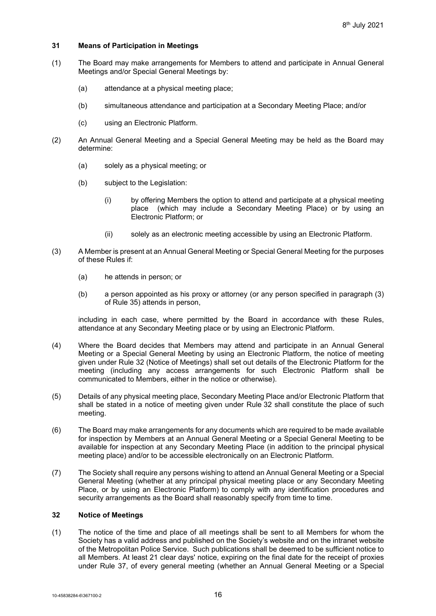## **31 Means of Participation in Meetings**

- (1) The Board may make arrangements for Members to attend and participate in Annual General Meetings and/or Special General Meetings by:
	- (a) attendance at a physical meeting place;
	- (b) simultaneous attendance and participation at a Secondary Meeting Place; and/or
	- (c) using an Electronic Platform.
- (2) An Annual General Meeting and a Special General Meeting may be held as the Board may determine:
	- (a) solely as a physical meeting; or
	- (b) subject to the Legislation:
		- (i) by offering Members the option to attend and participate at a physical meeting place (which may include a Secondary Meeting Place) or by using an Electronic Platform; or
		- (ii) solely as an electronic meeting accessible by using an Electronic Platform.
- (3) A Member is present at an Annual General Meeting or Special General Meeting for the purposes of these Rules if:
	- (a) he attends in person; or
	- (b) a person appointed as his proxy or attorney (or any person specified in paragraph (3) of Rule [35\)](#page-22-0) attends in person,

including in each case, where permitted by the Board in accordance with these Rules, attendance at any Secondary Meeting place or by using an Electronic Platform.

- (4) Where the Board decides that Members may attend and participate in an Annual General Meeting or a Special General Meeting by using an Electronic Platform, the notice of meeting given under Rule [32](#page-18-0) (Notice of Meetings) shall set out details of the Electronic Platform for the meeting (including any access arrangements for such Electronic Platform shall be communicated to Members, either in the notice or otherwise).
- (5) Details of any physical meeting place, Secondary Meeting Place and/or Electronic Platform that shall be stated in a notice of meeting given under Rule [32](#page-18-0) shall constitute the place of such meeting.
- (6) The Board may make arrangements for any documents which are required to be made available for inspection by Members at an Annual General Meeting or a Special General Meeting to be available for inspection at any Secondary Meeting Place (in addition to the principal physical meeting place) and/or to be accessible electronically on an Electronic Platform.
- (7) The Society shall require any persons wishing to attend an Annual General Meeting or a Special General Meeting (whether at any principal physical meeting place or any Secondary Meeting Place, or by using an Electronic Platform) to comply with any identification procedures and security arrangements as the Board shall reasonably specify from time to time.

#### <span id="page-18-0"></span>**32 Notice of Meetings**

<span id="page-18-1"></span>(1) The notice of the time and place of all meetings shall be sent to all Members for whom the Society has a valid address and published on the Society's website and on the intranet website of the Metropolitan Police Service. Such publications shall be deemed to be sufficient notice to all Members. At least 21 clear days' notice, expiring on the final date for the receipt of proxies under Rule [37,](#page-24-0) of every general meeting (whether an Annual General Meeting or a Special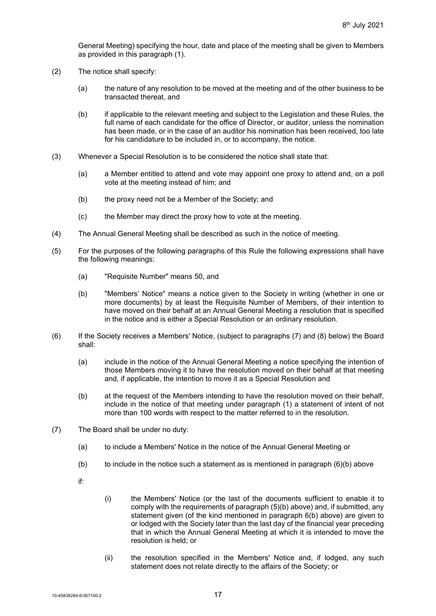General Meeting) specifying the hour, date and place of the meeting shall be given to Members as provided in this paragraph (1).

- (2) The notice shall specify:
	- (a) the nature of any resolution to be moved at the meeting and of the other business to be transacted thereat, and
	- (b) if applicable to the relevant meeting and subject to the Legislation and these Rules, the full name of each candidate for the office of Director, or auditor, unless the nomination has been made, or in the case of an auditor his nomination has been received, too late for his candidature to be included in, or to accompany, the notice.
- (3) Whenever a Special Resolution is to be considered the notice shall state that:
	- (a) a Member entitled to attend and vote may appoint one proxy to attend and, on a poll vote at the meeting instead of him; and
	- (b) the proxy need not be a Member of the Society; and
	- (c) the Member may direct the proxy how to vote at the meeting.
- (4) The Annual General Meeting shall be described as such in the notice of meeting.
- <span id="page-19-0"></span>(5) For the purposes of the following paragraphs of this Rule the following expressions shall have the following meanings:
	- (a) "Requisite Number" means 50, and
	- (b) "Members' Notice" means a notice given to the Society in writing (whether in one or more documents) by at least the Requisite Number of Members, of their intention to have moved on their behalf at an Annual General Meeting a resolution that is specified in the notice and is either a Special Resolution or an ordinary resolution.
- (6) If the Society receives a Members' Notice, (subject to paragraphs (7) and (8) below) the Board shall:
	- (a) include in the notice of the Annual General Meeting a notice specifying the intention of those Members moving it to have the resolution moved on their behalf at that meeting and, if applicable, the intention to move it as a Special Resolution and
	- (b) at the request of the Members intending to have the resolution moved on their behalf, include in the notice of that meeting under paragraph (1) a statement of intent of not more than 100 words with respect to the matter referred to in the resolution.
- <span id="page-19-1"></span>(7) The Board shall be under no duty:
	- (a) to include a Members' Notice in the notice of the Annual General Meeting or
	- (b) to include in the notice such a statement as is mentioned in paragraph  $(6)(b)$  above
	- if:
- (i) the Members' Notice (or the last of the documents sufficient to enable it to comply with the requirements of paragraph (5)(b) above) and, if submitted, any statement given (of the kind mentioned in paragraph 6(b) above) are given to or lodged with the Society later than the last day of the financial year preceding that in which the Annual General Meeting at which it is intended to move the resolution is held; or
- (ii) the resolution specified in the Members' Notice and, if lodged, any such statement does not relate directly to the affairs of the Society; or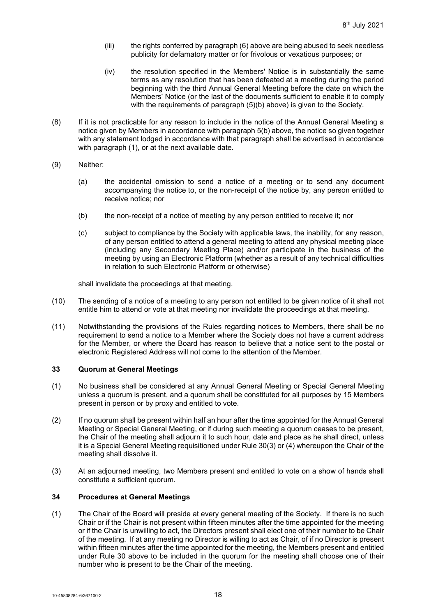- (iii) the rights conferred by paragraph (6) above are being abused to seek needless publicity for defamatory matter or for frivolous or vexatious purposes; or
- (iv) the resolution specified in the Members' Notice is in substantially the same terms as any resolution that has been defeated at a meeting during the period beginning with the third Annual General Meeting before the date on which the Members' Notice (or the last of the documents sufficient to enable it to comply with the requirements of paragraph (5)(b) above) is given to the Society.
- (8) If it is not practicable for any reason to include in the notice of the Annual General Meeting a notice given by Members in accordance with paragraph 5(b) above, the notice so given together with any statement lodged in accordance with that paragraph shall be advertised in accordance with paragraph (1), or at the next available date.
- (9) Neither:
	- (a) the accidental omission to send a notice of a meeting or to send any document accompanying the notice to, or the non-receipt of the notice by, any person entitled to receive notice; nor
	- (b) the non-receipt of a notice of meeting by any person entitled to receive it; nor
	- (c) subject to compliance by the Society with applicable laws, the inability, for any reason, of any person entitled to attend a general meeting to attend any physical meeting place (including any Secondary Meeting Place) and/or participate in the business of the meeting by using an Electronic Platform (whether as a result of any technical difficulties in relation to such Electronic Platform or otherwise)

shall invalidate the proceedings at that meeting.

- (10) The sending of a notice of a meeting to any person not entitled to be given notice of it shall not entitle him to attend or vote at that meeting nor invalidate the proceedings at that meeting.
- (11) Notwithstanding the provisions of the Rules regarding notices to Members, there shall be no requirement to send a notice to a Member where the Society does not have a current address for the Member, or where the Board has reason to believe that a notice sent to the postal or electronic Registered Address will not come to the attention of the Member.

# **33 Quorum at General Meetings**

- (1) No business shall be considered at any Annual General Meeting or Special General Meeting unless a quorum is present, and a quorum shall be constituted for all purposes by 15 Members present in person or by proxy and entitled to vote.
- (2) If no quorum shall be present within half an hour after the time appointed for the Annual General Meeting or Special General Meeting, or if during such meeting a quorum ceases to be present, the Chair of the meeting shall adjourn it to such hour, date and place as he shall direct, unless it is a Special General Meeting requisitioned under Rule [30\(3\)](#page-17-0) or [\(4\)](#page-17-1) whereupon the Chair of the meeting shall dissolve it.
- (3) At an adjourned meeting, two Members present and entitled to vote on a show of hands shall constitute a sufficient quorum.

# **34 Procedures at General Meetings**

(1) The Chair of the Board will preside at every general meeting of the Society. If there is no such Chair or if the Chair is not present within fifteen minutes after the time appointed for the meeting or if the Chair is unwilling to act, the Directors present shall elect one of their number to be Chair of the meeting. If at any meeting no Director is willing to act as Chair, of if no Director is present within fifteen minutes after the time appointed for the meeting, the Members present and entitled under Rule [30](#page-17-2) above to be included in the quorum for the meeting shall choose one of their number who is present to be the Chair of the meeting.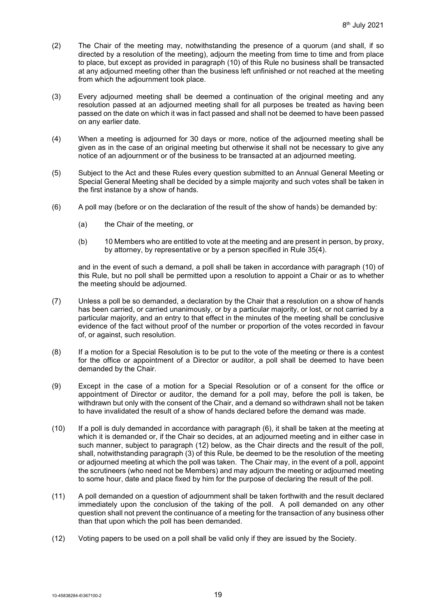- (2) The Chair of the meeting may, notwithstanding the presence of a quorum (and shall, if so directed by a resolution of the meeting), adjourn the meeting from time to time and from place to place, but except as provided in paragraph (10) of this Rule no business shall be transacted at any adjourned meeting other than the business left unfinished or not reached at the meeting from which the adjournment took place.
- (3) Every adjourned meeting shall be deemed a continuation of the original meeting and any resolution passed at an adjourned meeting shall for all purposes be treated as having been passed on the date on which it was in fact passed and shall not be deemed to have been passed on any earlier date.
- (4) When a meeting is adjourned for 30 days or more, notice of the adjourned meeting shall be given as in the case of an original meeting but otherwise it shall not be necessary to give any notice of an adjournment or of the business to be transacted at an adjourned meeting.
- (5) Subject to the Act and these Rules every question submitted to an Annual General Meeting or Special General Meeting shall be decided by a simple majority and such votes shall be taken in the first instance by a show of hands.
- (6) A poll may (before or on the declaration of the result of the show of hands) be demanded by:
	- (a) the Chair of the meeting, or
	- (b) 10 Members who are entitled to vote at the meeting and are present in person, by proxy, by attorney, by representative or by a person specified in Rule [35\(4\).](#page-22-1)

and in the event of such a demand, a poll shall be taken in accordance with paragraph (10) of this Rule, but no poll shall be permitted upon a resolution to appoint a Chair or as to whether the meeting should be adjourned.

- (7) Unless a poll be so demanded, a declaration by the Chair that a resolution on a show of hands has been carried, or carried unanimously, or by a particular majority, or lost, or not carried by a particular majority, and an entry to that effect in the minutes of the meeting shall be conclusive evidence of the fact without proof of the number or proportion of the votes recorded in favour of, or against, such resolution.
- (8) If a motion for a Special Resolution is to be put to the vote of the meeting or there is a contest for the office or appointment of a Director or auditor, a poll shall be deemed to have been demanded by the Chair.
- (9) Except in the case of a motion for a Special Resolution or of a consent for the office or appointment of Director or auditor, the demand for a poll may, before the poll is taken, be withdrawn but only with the consent of the Chair, and a demand so withdrawn shall not be taken to have invalidated the result of a show of hands declared before the demand was made.
- (10) If a poll is duly demanded in accordance with paragraph (6), it shall be taken at the meeting at which it is demanded or, if the Chair so decides, at an adjourned meeting and in either case in such manner, subject to paragraph (12) below, as the Chair directs and the result of the poll, shall, notwithstanding paragraph (3) of this Rule, be deemed to be the resolution of the meeting or adjourned meeting at which the poll was taken. The Chair may, in the event of a poll, appoint the scrutineers (who need not be Members) and may adjourn the meeting or adjourned meeting to some hour, date and place fixed by him for the purpose of declaring the result of the poll.
- (11) A poll demanded on a question of adjournment shall be taken forthwith and the result declared immediately upon the conclusion of the taking of the poll. A poll demanded on any other question shall not prevent the continuance of a meeting for the transaction of any business other than that upon which the poll has been demanded.
- (12) Voting papers to be used on a poll shall be valid only if they are issued by the Society.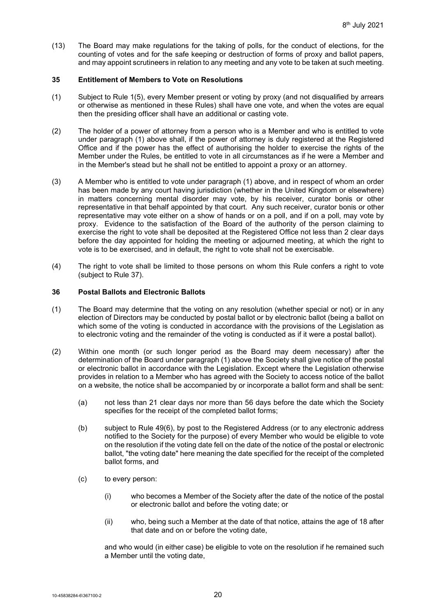(13) The Board may make regulations for the taking of polls, for the conduct of elections, for the counting of votes and for the safe keeping or destruction of forms of proxy and ballot papers, and may appoint scrutineers in relation to any meeting and any vote to be taken at such meeting.

### <span id="page-22-0"></span>**35 Entitlement of Members to Vote on Resolutions**

- (1) Subject to Rule [1\(5\),](#page-3-1) every Member present or voting by proxy (and not disqualified by arrears or otherwise as mentioned in these Rules) shall have one vote, and when the votes are equal then the presiding officer shall have an additional or casting vote.
- <span id="page-22-2"></span>(2) The holder of a power of attorney from a person who is a Member and who is entitled to vote under paragraph (1) above shall, if the power of attorney is duly registered at the Registered Office and if the power has the effect of authorising the holder to exercise the rights of the Member under the Rules, be entitled to vote in all circumstances as if he were a Member and in the Member's stead but he shall not be entitled to appoint a proxy or an attorney.
- (3) A Member who is entitled to vote under paragraph (1) above, and in respect of whom an order has been made by any court having jurisdiction (whether in the United Kingdom or elsewhere) in matters concerning mental disorder may vote, by his receiver, curator bonis or other representative in that behalf appointed by that court. Any such receiver, curator bonis or other representative may vote either on a show of hands or on a poll, and if on a poll, may vote by proxy. Evidence to the satisfaction of the Board of the authority of the person claiming to exercise the right to vote shall be deposited at the Registered Office not less than 2 clear days before the day appointed for holding the meeting or adjourned meeting, at which the right to vote is to be exercised, and in default, the right to vote shall not be exercisable.
- <span id="page-22-1"></span>(4) The right to vote shall be limited to those persons on whom this Rule confers a right to vote (subject to Rule [37\)](#page-24-0).

# **36 Postal Ballots and Electronic Ballots**

- (1) The Board may determine that the voting on any resolution (whether special or not) or in any election of Directors may be conducted by postal ballot or by electronic ballot (being a ballot on which some of the voting is conducted in accordance with the provisions of the Legislation as to electronic voting and the remainder of the voting is conducted as if it were a postal ballot).
- (2) Within one month (or such longer period as the Board may deem necessary) after the determination of the Board under paragraph (1) above the Society shall give notice of the postal or electronic ballot in accordance with the Legislation. Except where the Legislation otherwise provides in relation to a Member who has agreed with the Society to access notice of the ballot on a website, the notice shall be accompanied by or incorporate a ballot form and shall be sent:
	- (a) not less than 21 clear days nor more than 56 days before the date which the Society specifies for the receipt of the completed ballot forms;
	- (b) subject to Rule [49\(6\),](#page-28-1) by post to the Registered Address (or to any electronic address notified to the Society for the purpose) of every Member who would be eligible to vote on the resolution if the voting date fell on the date of the notice of the postal or electronic ballot, "the voting date" here meaning the date specified for the receipt of the completed ballot forms, and
	- (c) to every person:
		- (i) who becomes a Member of the Society after the date of the notice of the postal or electronic ballot and before the voting date; or
		- (ii) who, being such a Member at the date of that notice, attains the age of 18 after that date and on or before the voting date,

and who would (in either case) be eligible to vote on the resolution if he remained such a Member until the voting date,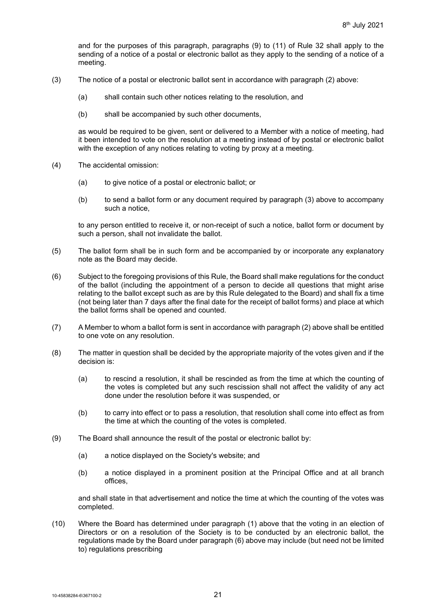and for the purposes of this paragraph, paragraphs (9) to (11) of Rule [32](#page-18-0) shall apply to the sending of a notice of a postal or electronic ballot as they apply to the sending of a notice of a meeting.

- (3) The notice of a postal or electronic ballot sent in accordance with paragraph (2) above:
	- (a) shall contain such other notices relating to the resolution, and
	- (b) shall be accompanied by such other documents,

as would be required to be given, sent or delivered to a Member with a notice of meeting, had it been intended to vote on the resolution at a meeting instead of by postal or electronic ballot with the exception of any notices relating to voting by proxy at a meeting.

- (4) The accidental omission:
	- (a) to give notice of a postal or electronic ballot; or
	- (b) to send a ballot form or any document required by paragraph (3) above to accompany such a notice,

to any person entitled to receive it, or non-receipt of such a notice, ballot form or document by such a person, shall not invalidate the ballot.

- (5) The ballot form shall be in such form and be accompanied by or incorporate any explanatory note as the Board may decide.
- (6) Subject to the foregoing provisions of this Rule, the Board shall make regulations for the conduct of the ballot (including the appointment of a person to decide all questions that might arise relating to the ballot except such as are by this Rule delegated to the Board) and shall fix a time (not being later than 7 days after the final date for the receipt of ballot forms) and place at which the ballot forms shall be opened and counted.
- (7) A Member to whom a ballot form is sent in accordance with paragraph (2) above shall be entitled to one vote on any resolution.
- (8) The matter in question shall be decided by the appropriate majority of the votes given and if the decision is:
	- (a) to rescind a resolution, it shall be rescinded as from the time at which the counting of the votes is completed but any such rescission shall not affect the validity of any act done under the resolution before it was suspended, or
	- (b) to carry into effect or to pass a resolution, that resolution shall come into effect as from the time at which the counting of the votes is completed.
- (9) The Board shall announce the result of the postal or electronic ballot by:
	- (a) a notice displayed on the Society's website; and
	- (b) a notice displayed in a prominent position at the Principal Office and at all branch offices,

and shall state in that advertisement and notice the time at which the counting of the votes was completed.

(10) Where the Board has determined under paragraph (1) above that the voting in an election of Directors or on a resolution of the Society is to be conducted by an electronic ballot, the regulations made by the Board under paragraph (6) above may include (but need not be limited to) regulations prescribing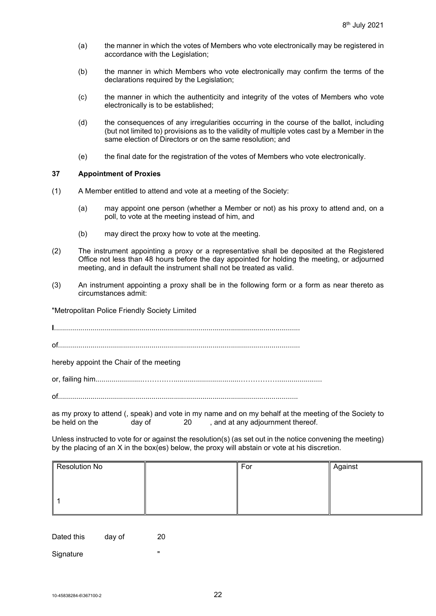- (a) the manner in which the votes of Members who vote electronically may be registered in accordance with the Legislation;
- (b) the manner in which Members who vote electronically may confirm the terms of the declarations required by the Legislation;
- (c) the manner in which the authenticity and integrity of the votes of Members who vote electronically is to be established;
- (d) the consequences of any irregularities occurring in the course of the ballot, including (but not limited to) provisions as to the validity of multiple votes cast by a Member in the same election of Directors or on the same resolution; and
- (e) the final date for the registration of the votes of Members who vote electronically.

#### <span id="page-24-0"></span>**37 Appointment of Proxies**

- (1) A Member entitled to attend and vote at a meeting of the Society:
	- (a) may appoint one person (whether a Member or not) as his proxy to attend and, on a poll, to vote at the meeting instead of him, and
	- (b) may direct the proxy how to vote at the meeting.
- (2) The instrument appointing a proxy or a representative shall be deposited at the Registered Office not less than 48 hours before the day appointed for holding the meeting, or adjourned meeting, and in default the instrument shall not be treated as valid.
- (3) An instrument appointing a proxy shall be in the following form or a form as near thereto as circumstances admit:

"Metropolitan Police Friendly Society Limited

**I**.........................................................................................................................

of.......................................................................................................................

hereby appoint the Chair of the meeting

or, failing him.......................……….….................................……………......................

of......................................................................................................................

as my proxy to attend (, speak) and vote in my name and on my behalf at the meeting of the Society to<br>be held on the day of 20 and at any adjournment thereof. and at any adjournment thereof.

Unless instructed to vote for or against the resolution(s) (as set out in the notice convening the meeting) by the placing of an X in the box(es) below, the proxy will abstain or vote at his discretion.

| Resolution No |  | For | Against |
|---------------|--|-----|---------|
|               |  |     |         |
|               |  |     |         |
|               |  |     |         |

Dated this day of 20

Signature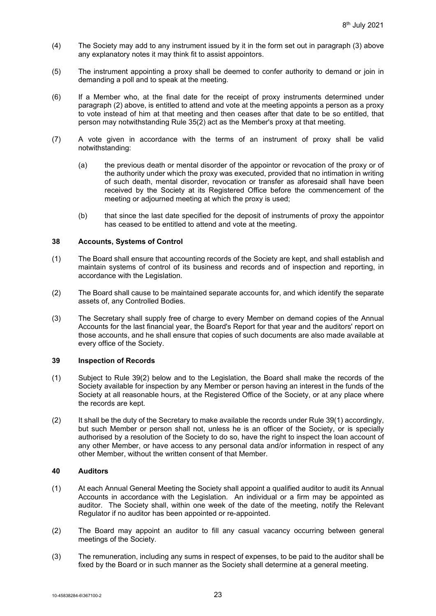- (4) The Society may add to any instrument issued by it in the form set out in paragraph (3) above any explanatory notes it may think fit to assist appointors.
- (5) The instrument appointing a proxy shall be deemed to confer authority to demand or join in demanding a poll and to speak at the meeting.
- (6) If a Member who, at the final date for the receipt of proxy instruments determined under paragraph (2) above, is entitled to attend and vote at the meeting appoints a person as a proxy to vote instead of him at that meeting and then ceases after that date to be so entitled, that person may notwithstanding Rule [35\(2\)](#page-22-2) act as the Member's proxy at that meeting.
- (7) A vote given in accordance with the terms of an instrument of proxy shall be valid notwithstanding:
	- (a) the previous death or mental disorder of the appointor or revocation of the proxy or of the authority under which the proxy was executed, provided that no intimation in writing of such death, mental disorder, revocation or transfer as aforesaid shall have been received by the Society at its Registered Office before the commencement of the meeting or adjourned meeting at which the proxy is used;
	- (b) that since the last date specified for the deposit of instruments of proxy the appointor has ceased to be entitled to attend and vote at the meeting.

#### **38 Accounts, Systems of Control**

- (1) The Board shall ensure that accounting records of the Society are kept, and shall establish and maintain systems of control of its business and records and of inspection and reporting, in accordance with the Legislation.
- (2) The Board shall cause to be maintained separate accounts for, and which identify the separate assets of, any Controlled Bodies.
- (3) The Secretary shall supply free of charge to every Member on demand copies of the Annual Accounts for the last financial year, the Board's Report for that year and the auditors' report on those accounts, and he shall ensure that copies of such documents are also made available at every office of the Society.

# **39 Inspection of Records**

- <span id="page-25-1"></span>(1) Subject to Rule [39\(2\)](#page-25-0) below and to the Legislation, the Board shall make the records of the Society available for inspection by any Member or person having an interest in the funds of the Society at all reasonable hours, at the Registered Office of the Society, or at any place where the records are kept.
- <span id="page-25-0"></span>(2) It shall be the duty of the Secretary to make available the records under Rule [39\(1\)](#page-25-1) accordingly, but such Member or person shall not, unless he is an officer of the Society, or is specially authorised by a resolution of the Society to do so, have the right to inspect the loan account of any other Member, or have access to any personal data and/or information in respect of any other Member, without the written consent of that Member.

# **40 Auditors**

- (1) At each Annual General Meeting the Society shall appoint a qualified auditor to audit its Annual Accounts in accordance with the Legislation. An individual or a firm may be appointed as auditor. The Society shall, within one week of the date of the meeting, notify the Relevant Regulator if no auditor has been appointed or re-appointed.
- (2) The Board may appoint an auditor to fill any casual vacancy occurring between general meetings of the Society.
- (3) The remuneration, including any sums in respect of expenses, to be paid to the auditor shall be fixed by the Board or in such manner as the Society shall determine at a general meeting.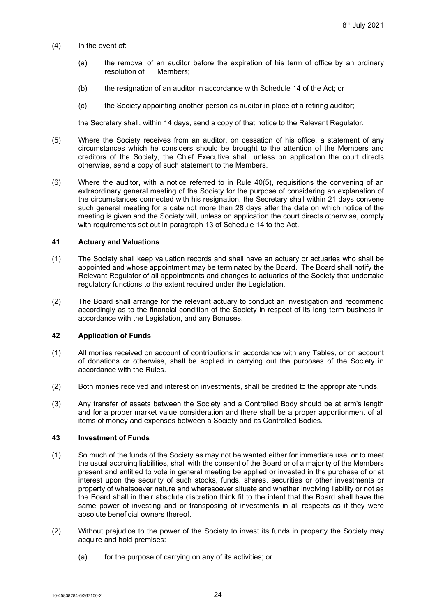- (4) In the event of:
	- (a) the removal of an auditor before the expiration of his term of office by an ordinary resolution of Members;
	- (b) the resignation of an auditor in accordance with Schedule 14 of the Act; or
	- (c) the Society appointing another person as auditor in place of a retiring auditor;

the Secretary shall, within 14 days, send a copy of that notice to the Relevant Regulator.

- <span id="page-26-1"></span>(5) Where the Society receives from an auditor, on cessation of his office, a statement of any circumstances which he considers should be brought to the attention of the Members and creditors of the Society, the Chief Executive shall, unless on application the court directs otherwise, send a copy of such statement to the Members.
- (6) Where the auditor, with a notice referred to in Rule [40\(5\),](#page-26-1) requisitions the convening of an extraordinary general meeting of the Society for the purpose of considering an explanation of the circumstances connected with his resignation, the Secretary shall within 21 days convene such general meeting for a date not more than 28 days after the date on which notice of the meeting is given and the Society will, unless on application the court directs otherwise, comply with requirements set out in paragraph 13 of Schedule 14 to the Act.

#### **41 Actuary and Valuations**

- (1) The Society shall keep valuation records and shall have an actuary or actuaries who shall be appointed and whose appointment may be terminated by the Board. The Board shall notify the Relevant Regulator of all appointments and changes to actuaries of the Society that undertake regulatory functions to the extent required under the Legislation.
- (2) The Board shall arrange for the relevant actuary to conduct an investigation and recommend accordingly as to the financial condition of the Society in respect of its long term business in accordance with the Legislation, and any Bonuses.

#### <span id="page-26-0"></span>**42 Application of Funds**

- (1) All monies received on account of contributions in accordance with any Tables, or on account of donations or otherwise, shall be applied in carrying out the purposes of the Society in accordance with the Rules.
- (2) Both monies received and interest on investments, shall be credited to the appropriate funds.
- (3) Any transfer of assets between the Society and a Controlled Body should be at arm's length and for a proper market value consideration and there shall be a proper apportionment of all items of money and expenses between a Society and its Controlled Bodies.

#### **43 Investment of Funds**

- (1) So much of the funds of the Society as may not be wanted either for immediate use, or to meet the usual accruing liabilities, shall with the consent of the Board or of a majority of the Members present and entitled to vote in general meeting be applied or invested in the purchase of or at interest upon the security of such stocks, funds, shares, securities or other investments or property of whatsoever nature and wheresoever situate and whether involving liability or not as the Board shall in their absolute discretion think fit to the intent that the Board shall have the same power of investing and or transposing of investments in all respects as if they were absolute beneficial owners thereof.
- (2) Without prejudice to the power of the Society to invest its funds in property the Society may acquire and hold premises:
	- (a) for the purpose of carrying on any of its activities; or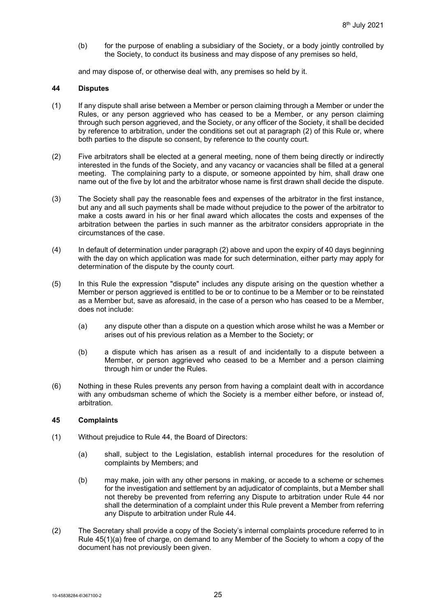(b) for the purpose of enabling a subsidiary of the Society, or a body jointly controlled by the Society, to conduct its business and may dispose of any premises so held,

and may dispose of, or otherwise deal with, any premises so held by it.

#### <span id="page-27-0"></span>**44 Disputes**

- (1) If any dispute shall arise between a Member or person claiming through a Member or under the Rules, or any person aggrieved who has ceased to be a Member, or any person claiming through such person aggrieved, and the Society, or any officer of the Society, it shall be decided by reference to arbitration, under the conditions set out at paragraph (2) of this Rule or, where both parties to the dispute so consent, by reference to the county court.
- (2) Five arbitrators shall be elected at a general meeting, none of them being directly or indirectly interested in the funds of the Society, and any vacancy or vacancies shall be filled at a general meeting. The complaining party to a dispute, or someone appointed by him, shall draw one name out of the five by lot and the arbitrator whose name is first drawn shall decide the dispute.
- (3) The Society shall pay the reasonable fees and expenses of the arbitrator in the first instance, but any and all such payments shall be made without prejudice to the power of the arbitrator to make a costs award in his or her final award which allocates the costs and expenses of the arbitration between the parties in such manner as the arbitrator considers appropriate in the circumstances of the case.
- (4) In default of determination under paragraph (2) above and upon the expiry of 40 days beginning with the day on which application was made for such determination, either party may apply for determination of the dispute by the county court.
- (5) In this Rule the expression "dispute" includes any dispute arising on the question whether a Member or person aggrieved is entitled to be or to continue to be a Member or to be reinstated as a Member but, save as aforesaid, in the case of a person who has ceased to be a Member, does not include:
	- (a) any dispute other than a dispute on a question which arose whilst he was a Member or arises out of his previous relation as a Member to the Society; or
	- (b) a dispute which has arisen as a result of and incidentally to a dispute between a Member, or person aggrieved who ceased to be a Member and a person claiming through him or under the Rules.
- (6) Nothing in these Rules prevents any person from having a complaint dealt with in accordance with any ombudsman scheme of which the Society is a member either before, or instead of, arbitration.

### **45 Complaints**

- <span id="page-27-1"></span>(1) Without prejudice to Rule [44,](#page-27-0) the Board of Directors:
	- (a) shall, subject to the Legislation, establish internal procedures for the resolution of complaints by Members; and
	- (b) may make, join with any other persons in making, or accede to a scheme or schemes for the investigation and settlement by an adjudicator of complaints, but a Member shall not thereby be prevented from referring any Dispute to arbitration under Rule [44](#page-27-0) nor shall the determination of a complaint under this Rule prevent a Member from referring any Dispute to arbitration under Rule [44.](#page-27-0)
- (2) The Secretary shall provide a copy of the Society's internal complaints procedure referred to in Rule [45\(1\)\(a\)](#page-27-1) free of charge, on demand to any Member of the Society to whom a copy of the document has not previously been given.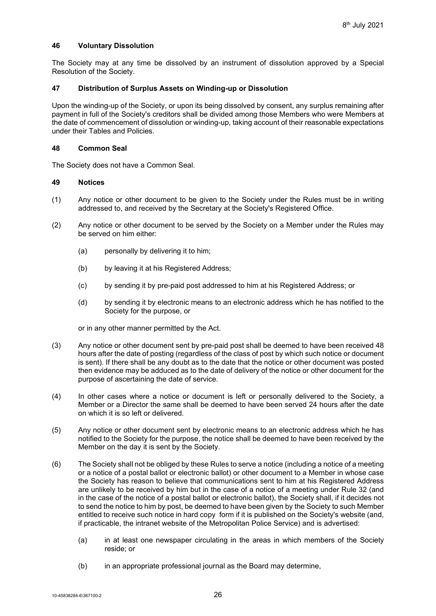### **46 Voluntary Dissolution**

The Society may at any time be dissolved by an instrument of dissolution approved by a Special Resolution of the Society.

#### **47 Distribution of Surplus Assets on Winding-up or Dissolution**

Upon the winding-up of the Society, or upon its being dissolved by consent, any surplus remaining after payment in full of the Society's creditors shall be divided among those Members who were Members at the date of commencement of dissolution or winding-up, taking account of their reasonable expectations under their Tables and Policies.

#### **48 Common Seal**

The Society does not have a Common Seal.

#### <span id="page-28-0"></span>**49 Notices**

- (1) Any notice or other document to be given to the Society under the Rules must be in writing addressed to, and received by the Secretary at the Society's Registered Office.
- (2) Any notice or other document to be served by the Society on a Member under the Rules may be served on him either:
	- (a) personally by delivering it to him;
	- (b) by leaving it at his Registered Address;
	- (c) by sending it by pre-paid post addressed to him at his Registered Address; or
	- (d) by sending it by electronic means to an electronic address which he has notified to the Society for the purpose, or

or in any other manner permitted by the Act.

- (3) Any notice or other document sent by pre-paid post shall be deemed to have been received 48 hours after the date of posting (regardless of the class of post by which such notice or document is sent). If there shall be any doubt as to the date that the notice or other document was posted then evidence may be adduced as to the date of delivery of the notice or other document for the purpose of ascertaining the date of service.
- (4) In other cases where a notice or document is left or personally delivered to the Society, a Member or a Director the same shall be deemed to have been served 24 hours after the date on which it is so left or delivered.
- (5) Any notice or other document sent by electronic means to an electronic address which he has notified to the Society for the purpose, the notice shall be deemed to have been received by the Member on the day it is sent by the Society.
- <span id="page-28-1"></span>(6) The Society shall not be obliged by these Rules to serve a notice (including a notice of a meeting or a notice of a postal ballot or electronic ballot) or other document to a Member in whose case the Society has reason to believe that communications sent to him at his Registered Address are unlikely to be received by him but in the case of a notice of a meeting under Rule [32](#page-18-0) (and in the case of the notice of a postal ballot or electronic ballot), the Society shall, if it decides not to send the notice to him by post, be deemed to have been given by the Society to such Member entitled to receive such notice in hard copy form if it is published on the Society's website (and, if practicable, the intranet website of the Metropolitan Police Service) and is advertised:
	- (a) in at least one newspaper circulating in the areas in which members of the Society reside; or
	- (b) in an appropriate professional journal as the Board may determine,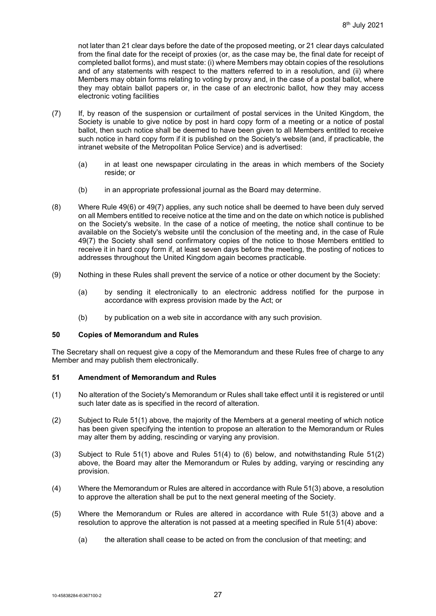not later than 21 clear days before the date of the proposed meeting, or 21 clear days calculated from the final date for the receipt of proxies (or, as the case may be, the final date for receipt of completed ballot forms), and must state: (i) where Members may obtain copies of the resolutions and of any statements with respect to the matters referred to in a resolution, and (ii) where Members may obtain forms relating to voting by proxy and, in the case of a postal ballot, where they may obtain ballot papers or, in the case of an electronic ballot, how they may access electronic voting facilities

- <span id="page-29-2"></span>(7) If, by reason of the suspension or curtailment of postal services in the United Kingdom, the Society is unable to give notice by post in hard copy form of a meeting or a notice of postal ballot, then such notice shall be deemed to have been given to all Members entitled to receive such notice in hard copy form if it is published on the Society's website (and, if practicable, the intranet website of the Metropolitan Police Service) and is advertised:
	- (a) in at least one newspaper circulating in the areas in which members of the Society reside; or
	- (b) in an appropriate professional journal as the Board may determine.
- (8) Where Rule [49\(6\)](#page-28-1) or [49\(7\)](#page-29-2) applies, any such notice shall be deemed to have been duly served on all Members entitled to receive notice at the time and on the date on which notice is published on the Society's website. In the case of a notice of meeting, the notice shall continue to be available on the Society's website until the conclusion of the meeting and, in the case of Rule [49\(7\)](#page-29-2) the Society shall send confirmatory copies of the notice to those Members entitled to receive it in hard copy form if, at least seven days before the meeting, the posting of notices to addresses throughout the United Kingdom again becomes practicable.
- (9) Nothing in these Rules shall prevent the service of a notice or other document by the Society:
	- (a) by sending it electronically to an electronic address notified for the purpose in accordance with express provision made by the Act; or
	- (b) by publication on a web site in accordance with any such provision.

#### **50 Copies of Memorandum and Rules**

The Secretary shall on request give a copy of the Memorandum and these Rules free of charge to any Member and may publish them electronically.

# <span id="page-29-0"></span>**51 Amendment of Memorandum and Rules**

- <span id="page-29-3"></span>(1) No alteration of the Society's Memorandum or Rules shall take effect until it is registered or until such later date as is specified in the record of alteration.
- <span id="page-29-4"></span>(2) Subject to Rule [51\(1\)](#page-29-3) above, the majority of the Members at a general meeting of which notice has been given specifying the intention to propose an alteration to the Memorandum or Rules may alter them by adding, rescinding or varying any provision.
- <span id="page-29-5"></span>(3) Subject to Rule [51\(1\)](#page-29-3) above and Rules [51\(4\)](#page-29-1) to [\(6\)](#page-30-0) below, and notwithstanding Rule [51\(2\)](#page-29-4) above, the Board may alter the Memorandum or Rules by adding, varying or rescinding any provision.
- <span id="page-29-1"></span>(4) Where the Memorandum or Rules are altered in accordance with Rule [51\(3\)](#page-29-5) above, a resolution to approve the alteration shall be put to the next general meeting of the Society.
- (5) Where the Memorandum or Rules are altered in accordance with Rule [51\(3\)](#page-29-5) above and a resolution to approve the alteration is not passed at a meeting specified in Rule [51\(4\)](#page-29-1) above:
	- (a) the alteration shall cease to be acted on from the conclusion of that meeting; and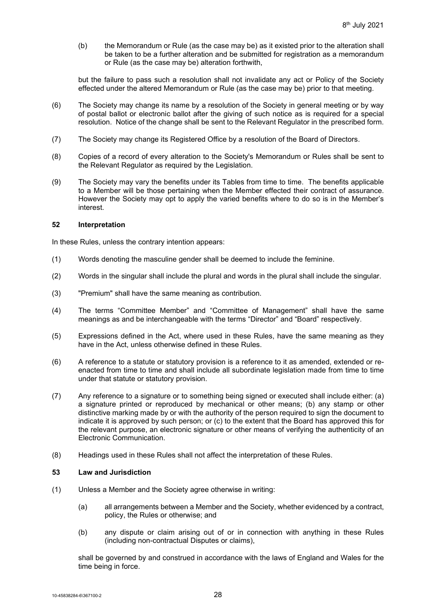(b) the Memorandum or Rule (as the case may be) as it existed prior to the alteration shall be taken to be a further alteration and be submitted for registration as a memorandum or Rule (as the case may be) alteration forthwith,

but the failure to pass such a resolution shall not invalidate any act or Policy of the Society effected under the altered Memorandum or Rule (as the case may be) prior to that meeting.

- <span id="page-30-0"></span>(6) The Society may change its name by a resolution of the Society in general meeting or by way of postal ballot or electronic ballot after the giving of such notice as is required for a special resolution. Notice of the change shall be sent to the Relevant Regulator in the prescribed form.
- (7) The Society may change its Registered Office by a resolution of the Board of Directors.
- (8) Copies of a record of every alteration to the Society's Memorandum or Rules shall be sent to the Relevant Regulator as required by the Legislation.
- (9) The Society may vary the benefits under its Tables from time to time. The benefits applicable to a Member will be those pertaining when the Member effected their contract of assurance. However the Society may opt to apply the varied benefits where to do so is in the Member's interest.

#### **52 Interpretation**

In these Rules, unless the contrary intention appears:

- (1) Words denoting the masculine gender shall be deemed to include the feminine.
- (2) Words in the singular shall include the plural and words in the plural shall include the singular.
- (3) "Premium" shall have the same meaning as contribution.
- (4) The terms "Committee Member" and "Committee of Management" shall have the same meanings as and be interchangeable with the terms "Director" and "Board" respectively.
- (5) Expressions defined in the Act, where used in these Rules, have the same meaning as they have in the Act, unless otherwise defined in these Rules.
- (6) A reference to a statute or statutory provision is a reference to it as amended, extended or reenacted from time to time and shall include all subordinate legislation made from time to time under that statute or statutory provision.
- (7) Any reference to a signature or to something being signed or executed shall include either: (a) a signature printed or reproduced by mechanical or other means; (b) any stamp or other distinctive marking made by or with the authority of the person required to sign the document to indicate it is approved by such person; or (c) to the extent that the Board has approved this for the relevant purpose, an electronic signature or other means of verifying the authenticity of an Electronic Communication.
- (8) Headings used in these Rules shall not affect the interpretation of these Rules.

#### **53 Law and Jurisdiction**

- (1) Unless a Member and the Society agree otherwise in writing:
	- (a) all arrangements between a Member and the Society, whether evidenced by a contract, policy, the Rules or otherwise; and
	- (b) any dispute or claim arising out of or in connection with anything in these Rules (including non-contractual Disputes or claims),

shall be governed by and construed in accordance with the laws of England and Wales for the time being in force.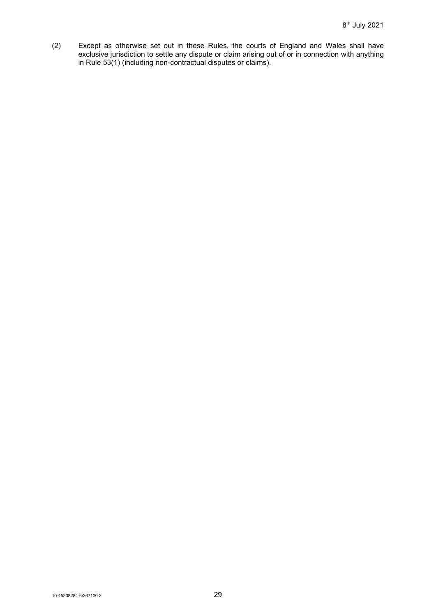(2) Except as otherwise set out in these Rules, the courts of England and Wales shall have exclusive jurisdiction to settle any dispute or claim arising out of or in connection with anything in Rule 53(1) (including non-contractual disputes or claims).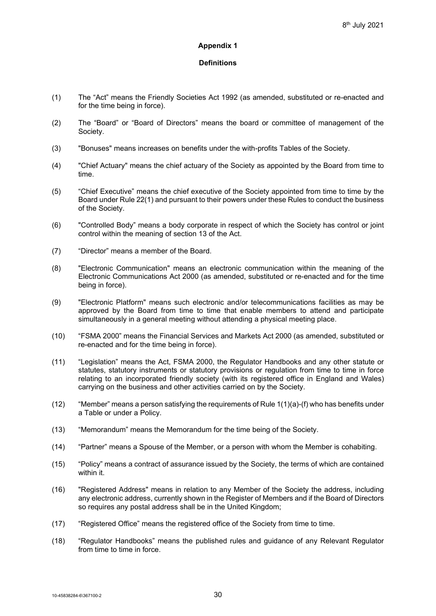#### **Appendix 1**

# **Definitions**

- (1) The "Act" means the Friendly Societies Act 1992 (as amended, substituted or re-enacted and for the time being in force).
- (2) The "Board" or "Board of Directors" means the board or committee of management of the Society.
- (3) "Bonuses" means increases on benefits under the with-profits Tables of the Society.
- (4) "Chief Actuary" means the chief actuary of the Society as appointed by the Board from time to time.
- (5) "Chief Executive" means the chief executive of the Society appointed from time to time by the Board under Rule 22(1) and pursuant to their powers under these Rules to conduct the business of the Society.
- (6) "Controlled Body" means a body corporate in respect of which the Society has control or joint control within the meaning of section 13 of the Act.
- (7) "Director" means a member of the Board.
- (8) "Electronic Communication" means an electronic communication within the meaning of the Electronic Communications Act 2000 (as amended, substituted or re-enacted and for the time being in force).
- (9) "Electronic Platform" means such electronic and/or telecommunications facilities as may be approved by the Board from time to time that enable members to attend and participate simultaneously in a general meeting without attending a physical meeting place.
- (10) "FSMA 2000" means the Financial Services and Markets Act 2000 (as amended, substituted or re-enacted and for the time being in force).
- (11) "Legislation" means the Act, FSMA 2000, the Regulator Handbooks and any other statute or statutes, statutory instruments or statutory provisions or regulation from time to time in force relating to an incorporated friendly society (with its registered office in England and Wales) carrying on the business and other activities carried on by the Society.
- (12) "Member" means a person satisfying the requirements of Rule 1(1)(a)-(f) who has benefits under a Table or under a Policy.
- (13) "Memorandum" means the Memorandum for the time being of the Society.
- (14) "Partner" means a Spouse of the Member, or a person with whom the Member is cohabiting.
- (15) "Policy" means a contract of assurance issued by the Society, the terms of which are contained within it.
- (16) "Registered Address" means in relation to any Member of the Society the address, including any electronic address, currently shown in the Register of Members and if the Board of Directors so requires any postal address shall be in the United Kingdom;
- (17) "Registered Office" means the registered office of the Society from time to time.
- (18) "Regulator Handbooks" means the published rules and guidance of any Relevant Regulator from time to time in force.